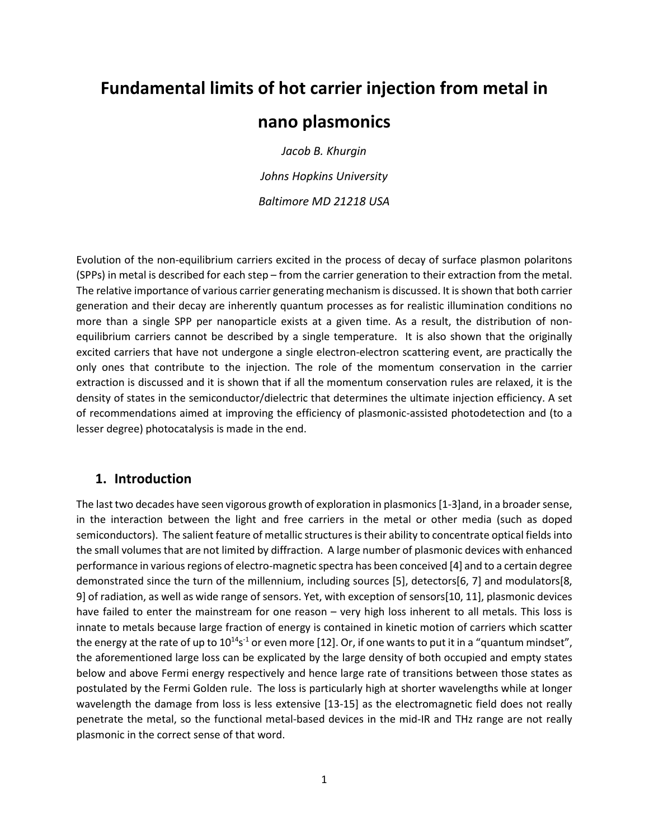# **Fundamental limits of hot carrier injection from metal in**

# **nano plasmonics**

*Jacob B. Khurgin Johns Hopkins University Baltimore MD 21218 USA* 

Evolution of the non-equilibrium carriers excited in the process of decay of surface plasmon polaritons (SPPs) in metal is described for each step – from the carrier generation to their extraction from the metal. The relative importance of various carrier generating mechanism is discussed. It is shown that both carrier generation and their decay are inherently quantum processes as for realistic illumination conditions no more than a single SPP per nanoparticle exists at a given time. As a result, the distribution of nonequilibrium carriers cannot be described by a single temperature. It is also shown that the originally excited carriers that have not undergone a single electron-electron scattering event, are practically the only ones that contribute to the injection. The role of the momentum conservation in the carrier extraction is discussed and it is shown that if all the momentum conservation rules are relaxed, it is the density of states in the semiconductor/dielectric that determines the ultimate injection efficiency. A set of recommendations aimed at improving the efficiency of plasmonic-assisted photodetection and (to a lesser degree) photocatalysis is made in the end.

### **1. Introduction**

The last two decades have seen vigorous growth of exploration in plasmonics[1-3]and, in a broader sense, in the interaction between the light and free carriers in the metal or other media (such as doped semiconductors). The salient feature of metallic structures is their ability to concentrate optical fields into the small volumes that are not limited by diffraction. A large number of plasmonic devices with enhanced performance in various regions of electro-magnetic spectra has been conceived [4] and to a certain degree demonstrated since the turn of the millennium, including sources [5], detectors[6, 7] and modulators[8, 9] of radiation, as well as wide range of sensors. Yet, with exception of sensors[10, 11], plasmonic devices have failed to enter the mainstream for one reason – very high loss inherent to all metals. This loss is innate to metals because large fraction of energy is contained in kinetic motion of carriers which scatter the energy at the rate of up to  $10^{14}$ s<sup>-1</sup> or even more [12]. Or, if one wants to put it in a "quantum mindset", the aforementioned large loss can be explicated by the large density of both occupied and empty states below and above Fermi energy respectively and hence large rate of transitions between those states as postulated by the Fermi Golden rule. The loss is particularly high at shorter wavelengths while at longer wavelength the damage from loss is less extensive [13-15] as the electromagnetic field does not really penetrate the metal, so the functional metal-based devices in the mid-IR and THz range are not really plasmonic in the correct sense of that word.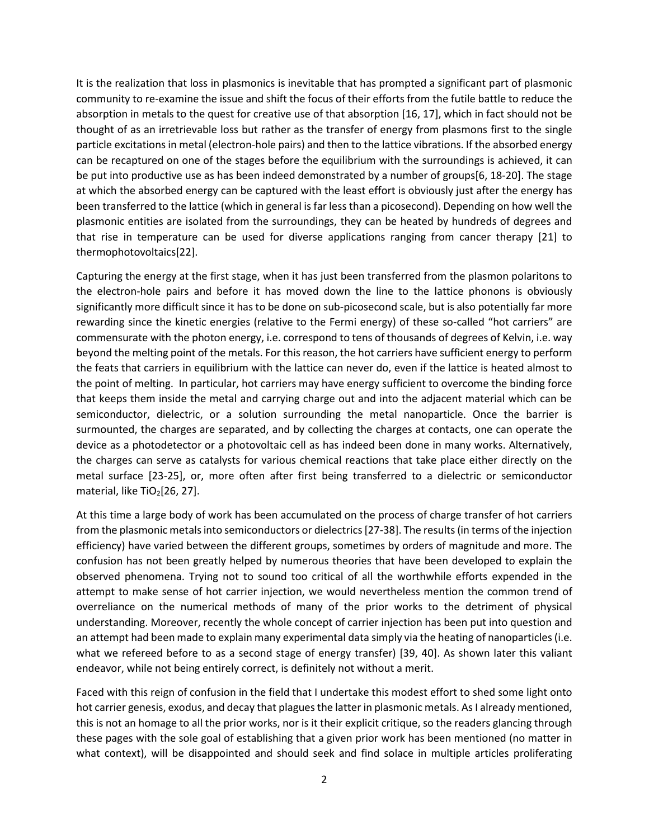It is the realization that loss in plasmonics is inevitable that has prompted a significant part of plasmonic community to re-examine the issue and shift the focus of their efforts from the futile battle to reduce the absorption in metals to the quest for creative use of that absorption [16, 17], which in fact should not be thought of as an irretrievable loss but rather as the transfer of energy from plasmons first to the single particle excitations in metal (electron-hole pairs) and then to the lattice vibrations. If the absorbed energy can be recaptured on one of the stages before the equilibrium with the surroundings is achieved, it can be put into productive use as has been indeed demonstrated by a number of groups[6, 18-20]. The stage at which the absorbed energy can be captured with the least effort is obviously just after the energy has been transferred to the lattice (which in general is far less than a picosecond). Depending on how well the plasmonic entities are isolated from the surroundings, they can be heated by hundreds of degrees and that rise in temperature can be used for diverse applications ranging from cancer therapy [21] to thermophotovoltaics[22].

Capturing the energy at the first stage, when it has just been transferred from the plasmon polaritons to the electron-hole pairs and before it has moved down the line to the lattice phonons is obviously significantly more difficult since it has to be done on sub-picosecond scale, but is also potentially far more rewarding since the kinetic energies (relative to the Fermi energy) of these so-called "hot carriers" are commensurate with the photon energy, i.e. correspond to tens of thousands of degrees of Kelvin, i.e. way beyond the melting point of the metals. For this reason, the hot carriers have sufficient energy to perform the feats that carriers in equilibrium with the lattice can never do, even if the lattice is heated almost to the point of melting. In particular, hot carriers may have energy sufficient to overcome the binding force that keeps them inside the metal and carrying charge out and into the adjacent material which can be semiconductor, dielectric, or a solution surrounding the metal nanoparticle. Once the barrier is surmounted, the charges are separated, and by collecting the charges at contacts, one can operate the device as a photodetector or a photovoltaic cell as has indeed been done in many works. Alternatively, the charges can serve as catalysts for various chemical reactions that take place either directly on the metal surface [23-25], or, more often after first being transferred to a dielectric or semiconductor material, like  $TiO<sub>2</sub>[26, 27]$ .

At this time a large body of work has been accumulated on the process of charge transfer of hot carriers from the plasmonic metals into semiconductors or dielectrics [27-38]. The results (in terms of the injection efficiency) have varied between the different groups, sometimes by orders of magnitude and more. The confusion has not been greatly helped by numerous theories that have been developed to explain the observed phenomena. Trying not to sound too critical of all the worthwhile efforts expended in the attempt to make sense of hot carrier injection, we would nevertheless mention the common trend of overreliance on the numerical methods of many of the prior works to the detriment of physical understanding. Moreover, recently the whole concept of carrier injection has been put into question and an attempt had been made to explain many experimental data simply via the heating of nanoparticles (i.e. what we refereed before to as a second stage of energy transfer) [39, 40]. As shown later this valiant endeavor, while not being entirely correct, is definitely not without a merit.

Faced with this reign of confusion in the field that I undertake this modest effort to shed some light onto hot carrier genesis, exodus, and decay that plagues the latter in plasmonic metals. As I already mentioned, this is not an homage to all the prior works, nor is it their explicit critique, so the readers glancing through these pages with the sole goal of establishing that a given prior work has been mentioned (no matter in what context), will be disappointed and should seek and find solace in multiple articles proliferating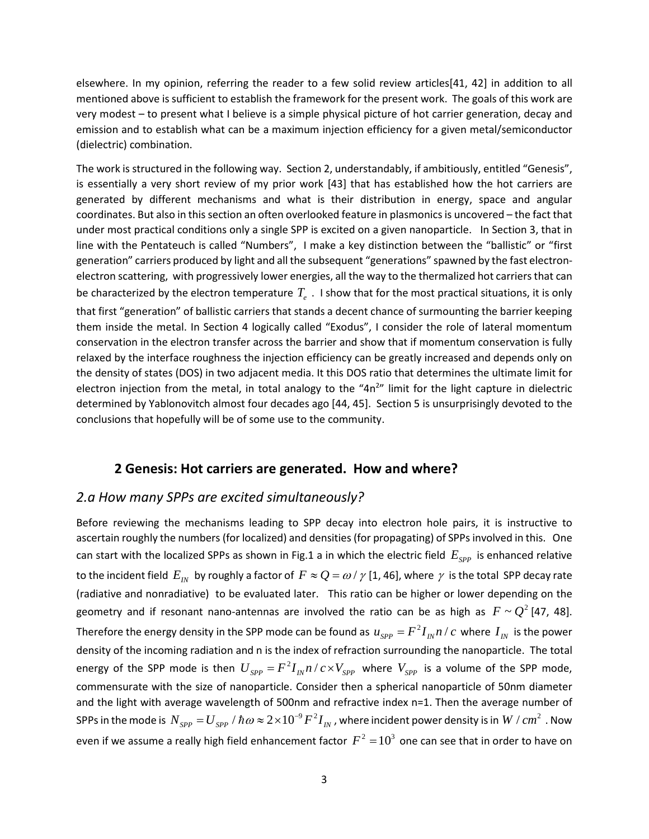elsewhere. In my opinion, referring the reader to a few solid review articles[41, 42] in addition to all mentioned above is sufficient to establish the framework for the present work. The goals of this work are very modest – to present what I believe is a simple physical picture of hot carrier generation, decay and emission and to establish what can be a maximum injection efficiency for a given metal/semiconductor (dielectric) combination.

The work is structured in the following way. Section 2, understandably, if ambitiously, entitled "Genesis", is essentially a very short review of my prior work [43] that has established how the hot carriers are generated by different mechanisms and what is their distribution in energy, space and angular coordinates. But also in this section an often overlooked feature in plasmonics is uncovered – the fact that under most practical conditions only a single SPP is excited on a given nanoparticle. In Section 3, that in line with the Pentateuch is called "Numbers", I make a key distinction between the "ballistic" or "first generation" carriers produced by light and all the subsequent "generations" spawned by the fast electronelectron scattering, with progressively lower energies, all the way to the thermalized hot carriers that can be characterized by the electron temperature  $T_{\rho}$ . I show that for the most practical situations, it is only that first "generation" of ballistic carriers that stands a decent chance of surmounting the barrier keeping them inside the metal. In Section 4 logically called "Exodus", I consider the role of lateral momentum conservation in the electron transfer across the barrier and show that if momentum conservation is fully relaxed by the interface roughness the injection efficiency can be greatly increased and depends only on the density of states (DOS) in two adjacent media. It this DOS ratio that determines the ultimate limit for electron injection from the metal, in total analogy to the "4n<sup>2</sup>" limit for the light capture in dielectric determined by Yablonovitch almost four decades ago [44, 45]. Section 5 is unsurprisingly devoted to the conclusions that hopefully will be of some use to the community.

### **2 Genesis: Hot carriers are generated. How and where?**

### *2.a How many SPPs are excited simultaneously?*

Before reviewing the mechanisms leading to SPP decay into electron hole pairs, it is instructive to ascertain roughly the numbers (for localized) and densities (for propagating) of SPPs involved in this. One can start with the localized SPPs as shown in Fig.1 a in which the electric field  $E_{SPP}$  is enhanced relative to the incident field  $E_N$  by roughly a factor of  $F \approx Q = \omega / \gamma$  [1, 46], where  $\gamma$  is the total SPP decay rate (radiative and nonradiative) to be evaluated later. This ratio can be higher or lower depending on the geometry and if resonant nano-antennas are involved the ratio can be as high as  $F \sim Q^2$  [47, 48]. Therefore the energy density in the SPP mode can be found as  $u_{spp} = F^2 I_{m} n / c$  where  $I_{N}$  is the power density of the incoming radiation and n is the index of refraction surrounding the nanoparticle. The total energy of the SPP mode is then  $U_{SPP} = F^2 I_{I} n / c \times V_{SPP}$  where  $V_{SPP}$  is a volume of the SPP mode, commensurate with the size of nanoparticle. Consider then a spherical nanoparticle of 50nm diameter and the light with average wavelength of 500nm and refractive index n=1. Then the average number of SPPs in the mode is  $\,N_{SPP}=$   $U_{SPP}$   $/$   $\hbar$   $\omega$   $\approx$   $2\times10^{-9}$   $F^2I_{I\!N}$  , where incident power density is in  $\,W$   $/$   $cm^2$  . Now even if we assume a really high field enhancement factor  $F^2 = 10^3$  one can see that in order to have on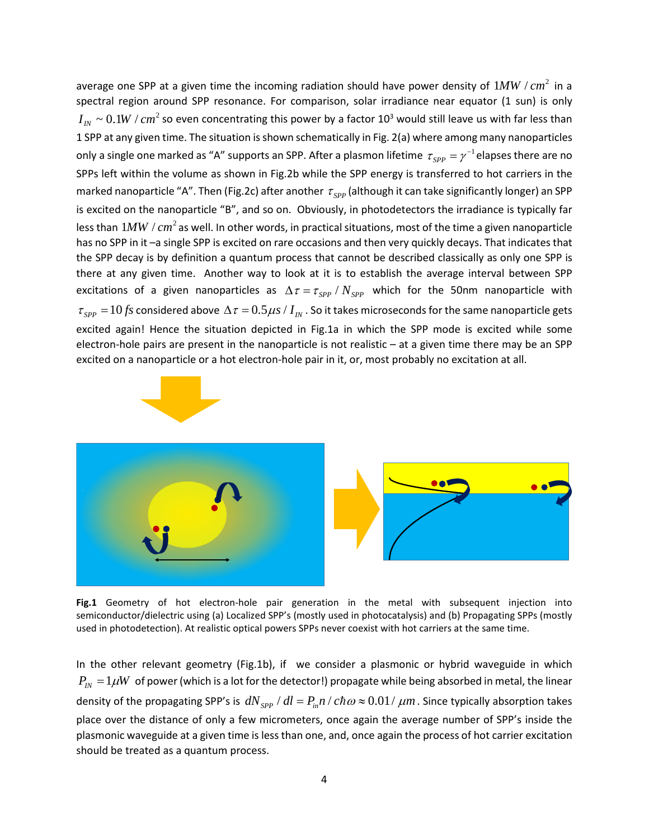average one SPP at a given time the incoming radiation should have power density of  $1 MW / cm<sup>2</sup>$  in a spectral region around SPP resonance. For comparison, solar irradiance near equator (1 sun) is only  $I_{I_N} \sim 0.1 W / cm^2$  so even concentrating this power by a factor 10<sup>3</sup> would still leave us with far less than 1 SPP at any given time. The situation is shown schematically in Fig. 2(a) where among many nanoparticles only a single one marked as "A" supports an SPP. After a plasmon lifetime  $\tau_{\tiny SPP} = \gamma^{-1}$ elapses there are no SPPs left within the volume as shown in Fig.2b while the SPP energy is transferred to hot carriers in the marked nanoparticle "A". Then (Fig.2c) after another  $\tau_{sPP}$  (although it can take significantly longer) an SPP is excited on the nanoparticle "B", and so on. Obviously, in photodetectors the irradiance is typically far less than  $1 MW / cm<sup>2</sup>$  as well. In other words, in practical situations, most of the time a given nanoparticle has no SPP in it –a single SPP is excited on rare occasions and then very quickly decays. That indicates that the SPP decay is by definition a quantum process that cannot be described classically as only one SPP is there at any given time. Another way to look at it is to establish the average interval between SPP excitations of a given nanoparticles as  $\Delta \tau = \tau_{SPP} / N_{SPP}$  which for the 50nm nanoparticle with  $\tau_{SPP} = 10$  *fs* considered above  $\Delta \tau = 0.5 \mu s / I_m$ . So it takes microseconds for the same nanoparticle gets excited again! Hence the situation depicted in Fig.1a in which the SPP mode is excited while some electron-hole pairs are present in the nanoparticle is not realistic – at a given time there may be an SPP excited on a nanoparticle or a hot electron-hole pair in it, or, most probably no excitation at all.



**Fig.1** Geometry of hot electron-hole pair generation in the metal with subsequent injection into semiconductor/dielectric using (a) Localized SPP's (mostly used in photocatalysis) and (b) Propagating SPPs (mostly used in photodetection). At realistic optical powers SPPs never coexist with hot carriers at the same time.

In the other relevant geometry (Fig.1b), if we consider a plasmonic or hybrid waveguide in which  $P_{\scriptscriptstyle IV} = 1 \mu W$  of power (which is a lot for the detector!) propagate while being absorbed in metal, the linear density of the propagating SPP's is  $dN_{SPP}$  /  $dl = P_{in}n / c\hbar \omega \approx 0.01 / \mu m$ . Since typically absorption takes place over the distance of only a few micrometers, once again the average number of SPP's inside the plasmonic waveguide at a given time is less than one, and, once again the process of hot carrier excitation should be treated as a quantum process.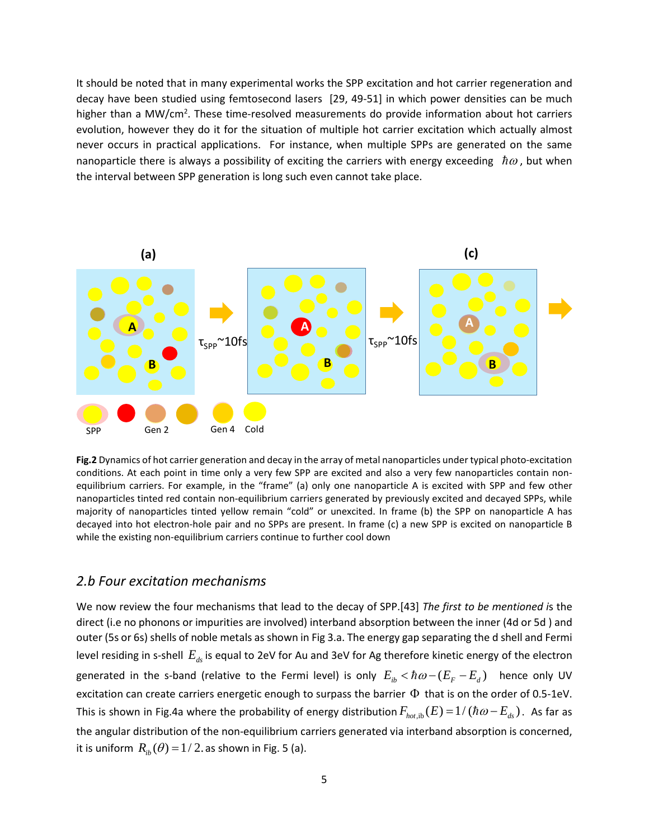It should be noted that in many experimental works the SPP excitation and hot carrier regeneration and decay have been studied using femtosecond lasers [29, 49-51] in which power densities can be much higher than a MW/cm<sup>2</sup>. These time-resolved measurements do provide information about hot carriers evolution, however they do it for the situation of multiple hot carrier excitation which actually almost never occurs in practical applications. For instance, when multiple SPPs are generated on the same nanoparticle there is always a possibility of exciting the carriers with energy exceeding  $\hbar\omega$ , but when the interval between SPP generation is long such even cannot take place.



**Fig.2** Dynamics of hot carrier generation and decay in the array of metal nanoparticles under typical photo-excitation conditions. At each point in time only a very few SPP are excited and also a very few nanoparticles contain nonequilibrium carriers. For example, in the "frame" (a) only one nanoparticle A is excited with SPP and few other nanoparticles tinted red contain non-equilibrium carriers generated by previously excited and decayed SPPs, while majority of nanoparticles tinted yellow remain "cold" or unexcited. In frame (b) the SPP on nanoparticle A has decayed into hot electron-hole pair and no SPPs are present. In frame (c) a new SPP is excited on nanoparticle B while the existing non-equilibrium carriers continue to further cool down

#### *2.b Four excitation mechanisms*

We now review the four mechanisms that lead to the decay of SPP.[43] *The first to be mentioned i*s the direct (i.e no phonons or impurities are involved) interband absorption between the inner (4d or 5d ) and outer (5s or 6s) shells of noble metals as shown in Fig 3.a. The energy gap separating the d shell and Fermi level residing in s-shell  $E_{ds}$  is equal to 2eV for Au and 3eV for Ag therefore kinetic energy of the electron generated in the s-band (relative to the Fermi level) is only  $E_{ik} < \hbar \omega -( E_{F}-E_{d})$  hence only UV excitation can create carriers energetic enough to surpass the barrier Φ that is on the order of 0.5-1eV. This is shown in Fig.4a where the probability of energy distribution  $F_{hotib}( E) = 1/( \hbar \omega - E_{ds})$ . As far as the angular distribution of the non-equilibrium carriers generated via interband absorption is concerned, it is uniform  $R_{ib}(\theta) = 1/2$ . as shown in Fig. 5 (a).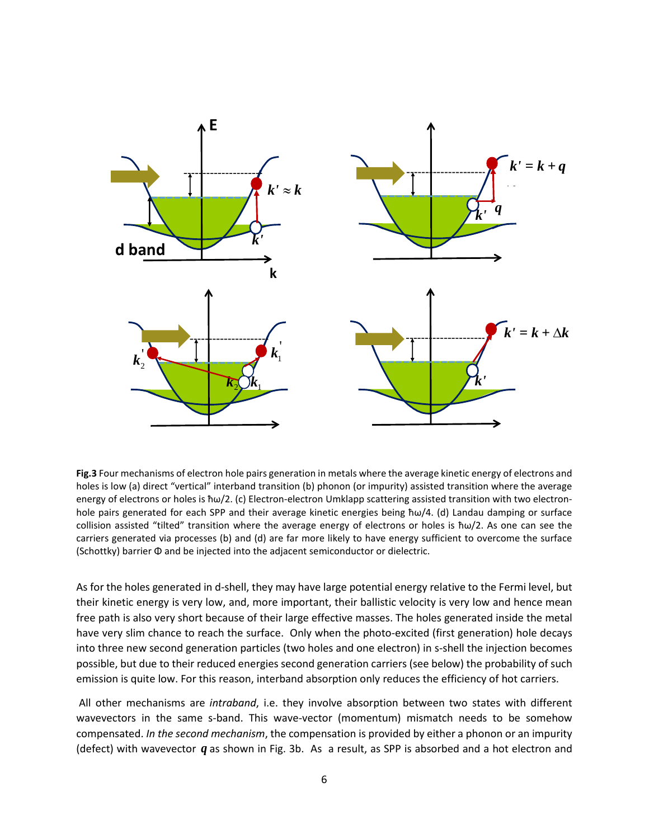

**Fig.3** Four mechanisms of electron hole pairs generation in metals where the average kinetic energy of electrons and holes is low (a) direct "vertical" interband transition (b) phonon (or impurity) assisted transition where the average energy of electrons or holes is ħω/2. (c) Electron-electron Umklapp scattering assisted transition with two electronhole pairs generated for each SPP and their average kinetic energies being ħω/4. (d) Landau damping or surface collision assisted "tilted" transition where the average energy of electrons or holes is ħω/2. As one can see the carriers generated via processes (b) and (d) are far more likely to have energy sufficient to overcome the surface (Schottky) barrier Φ and be injected into the adjacent semiconductor or dielectric.

As for the holes generated in d-shell, they may have large potential energy relative to the Fermi level, but their kinetic energy is very low, and, more important, their ballistic velocity is very low and hence mean free path is also very short because of their large effective masses. The holes generated inside the metal have very slim chance to reach the surface. Only when the photo-excited (first generation) hole decays into three new second generation particles (two holes and one electron) in s-shell the injection becomes possible, but due to their reduced energies second generation carriers (see below) the probability of such emission is quite low. For this reason, interband absorption only reduces the efficiency of hot carriers.

All other mechanisms are *intraband*, i.e. they involve absorption between two states with different wavevectors in the same s-band. This wave-vector (momentum) mismatch needs to be somehow compensated. *In the second mechanism*, the compensation is provided by either a phonon or an impurity (defect) with wavevector *q* as shown in Fig. 3b. As a result, as SPP is absorbed and a hot electron and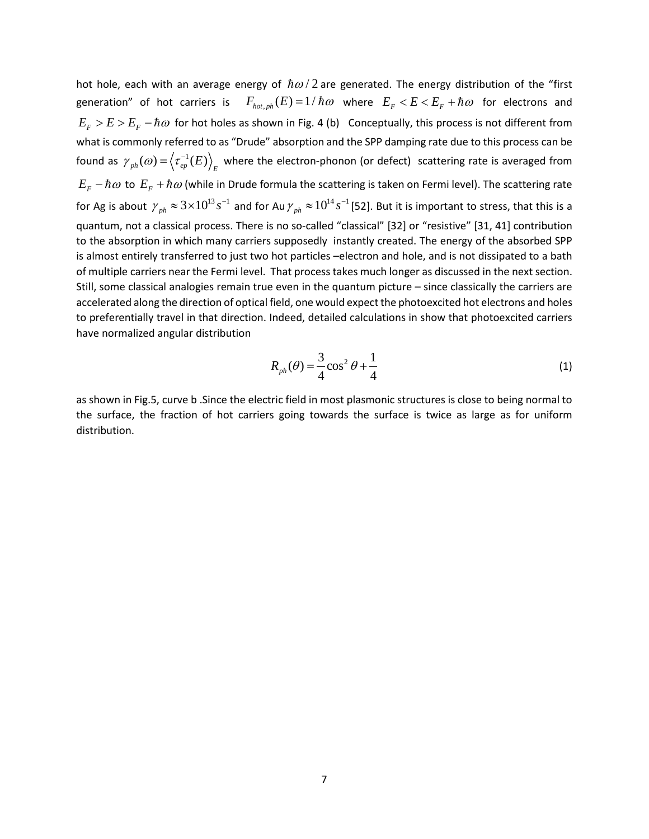hot hole, each with an average energy of  $\hbar \omega/2$  are generated. The energy distribution of the "first generation" of hot carriers is  $F_{hot, ph}(E) = 1/\hbar\omega$  where  $E_F < E < E_F + \hbar\omega$  for electrons and  $E_F > E > E_F - \hbar \omega$  for hot holes as shown in Fig. 4 (b) Conceptually, this process is not different from what is commonly referred to as "Drude" absorption and the SPP damping rate due to this process can be found as  $\gamma_{ph}(\omega) = \left\langle \tau_{ep}^{-1}(E) \right\rangle_F$  where the electron-phonon (or defect) scattering rate is averaged from  $E_F - \hbar \omega$  to  $E_F + \hbar \omega$  (while in Drude formula the scattering is taken on Fermi level). The scattering rate for Ag is about  $\gamma_{ph}\approx$  3×10<sup>13</sup>  $s^{-1}$  and for Au  $\gamma_{ph}\approx$  10<sup>14</sup>  $s^{-1}$  [52]. But it is important to stress, that this is a quantum, not a classical process. There is no so-called "classical" [32] or "resistive" [31, 41] contribution to the absorption in which many carriers supposedly instantly created. The energy of the absorbed SPP is almost entirely transferred to just two hot particles –electron and hole, and is not dissipated to a bath of multiple carriers near the Fermi level. That process takes much longer as discussed in the next section. Still, some classical analogies remain true even in the quantum picture – since classically the carriers are accelerated along the direction of optical field, one would expect the photoexcited hot electrons and holes to preferentially travel in that direction. Indeed, detailed calculations in show that photoexcited carriers have normalized angular distribution

$$
R_{ph}(\theta) = \frac{3}{4}\cos^2\theta + \frac{1}{4}
$$
 (1)

as shown in Fig.5, curve b .Since the electric field in most plasmonic structures is close to being normal to the surface, the fraction of hot carriers going towards the surface is twice as large as for uniform distribution.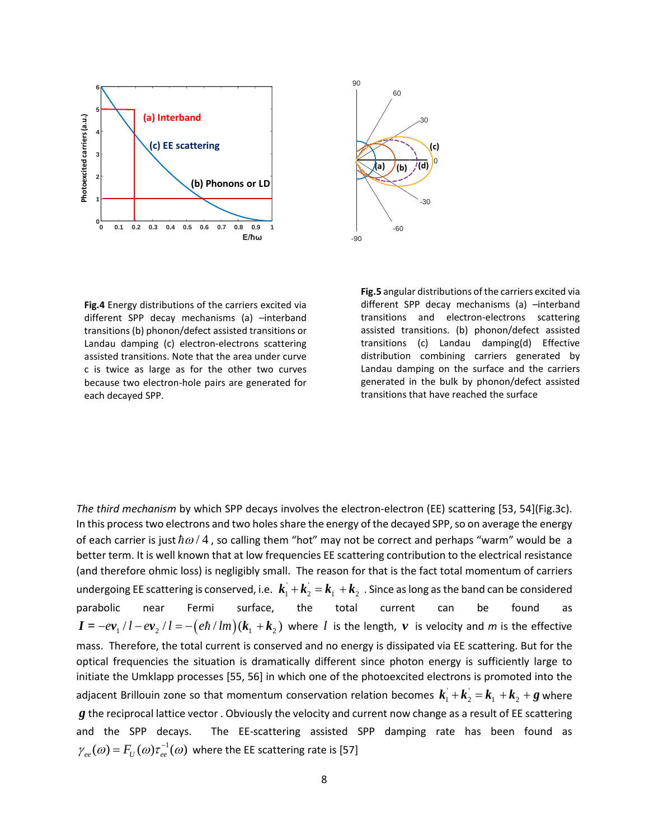



**Fig.4** Energy distributions of the carriers excited via different SPP decay mechanisms (a) –interband transitions (b) phonon/defect assisted transitions or Landau damping (c) electron-electrons scattering assisted transitions. Note that the area under curve c is twice as large as for the other two curves because two electron-hole pairs are generated for each decayed SPP.

**Fig.5** angular distributions of the carriers excited via different SPP decay mechanisms (a) –interband transitions and electron-electrons scattering assisted transitions. (b) phonon/defect assisted transitions (c) Landau damping(d) Effective distribution combining carriers generated by Landau damping on the surface and the carriers generated in the bulk by phonon/defect assisted transitions that have reached the surface

*The third mechanism* by which SPP decays involves the electron-electron (EE) scattering [53, 54](Fig.3c). In this process two electrons and two holes share the energy of the decayed SPP, so on average the energy of each carrier is just  $\hbar \omega / 4$ , so calling them "hot" may not be correct and perhaps "warm" would be a better term. It is well known that at low frequencies EE scattering contribution to the electrical resistance (and therefore ohmic loss) is negligibly small. The reason for that is the fact total momentum of carriers undergoing EE scattering is conserved, i.e.  $k_1 + k_2 = k_1 + k_2$ . Since as long as the band can be considered parabolic near Fermi surface, the total current can be found as  $I = -ev_1 / l - ev_2 / l = -(e\hbar / lm)(k_1 + k_2)$  where *l* is the length, *v* is velocity and *m* is the effective mass. Therefore, the total current is conserved and no energy is dissipated via EE scattering. But for the optical frequencies the situation is dramatically different since photon energy is sufficiently large to initiate the Umklapp processes [55, 56] in which one of the photoexcited electrons is promoted into the adjacent Brillouin zone so that momentum conservation relation becomes  $k_1 + k_2 = k_1 + k_2 + g$  where *g* the reciprocal lattice vector . Obviously the velocity and current now change as a result of EE scattering and the SPP decays. The EE-scattering assisted SPP damping rate has been found as  $\gamma_{ee}(\omega) = F_U(\omega) \tau_{ee}^{-1}(\omega)$  where the EE scattering rate is [57]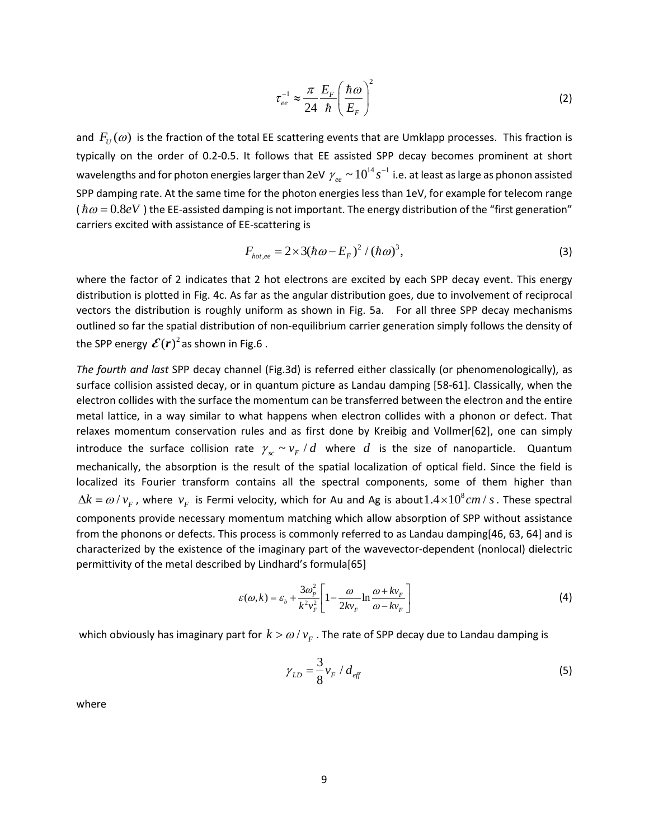$$
\tau_{ee}^{-1} \approx \frac{\pi}{24} \frac{E_F}{\hbar} \left(\frac{\hbar \omega}{E_F}\right)^2 \tag{2}
$$

and  $F_U(\omega)$  is the fraction of the total EE scattering events that are Umklapp processes. This fraction is typically on the order of 0.2-0.5. It follows that EE assisted SPP decay becomes prominent at short wavelengths and for photon energies larger than 2eV  $\,\gamma_{_{ee}}\thicksim10^{^{14}}\,s^{-1}$  i.e. at least as large as phonon assisted SPP damping rate. At the same time for the photon energies less than 1eV, for example for telecom range ( $\hbar \omega = 0.8eV$ ) the EE-assisted damping is not important. The energy distribution of the "first generation" carriers excited with assistance of EE-scattering is

$$
F_{hot,ee} = 2 \times 3(\hbar \omega - E_F)^2 / (\hbar \omega)^3,
$$
\n(3)

where the factor of 2 indicates that 2 hot electrons are excited by each SPP decay event. This energy distribution is plotted in Fig. 4c. As far as the angular distribution goes, due to involvement of reciprocal vectors the distribution is roughly uniform as shown in Fig. 5a. For all three SPP decay mechanisms outlined so far the spatial distribution of non-equilibrium carrier generation simply follows the density of the SPP energy  $\mathcal{E}(r)^2$  as shown in Fig.6.

*The fourth and last* SPP decay channel (Fig.3d) is referred either classically (or phenomenologically), as surface collision assisted decay, or in quantum picture as Landau damping [58-61]. Classically, when the electron collides with the surface the momentum can be transferred between the electron and the entire metal lattice, in a way similar to what happens when electron collides with a phonon or defect. That relaxes momentum conservation rules and as first done by Kreibig and Vollmer[62], one can simply introduce the surface collision rate  $\gamma_{sc} \sim v_F/d$  where *d* is the size of nanoparticle. Quantum mechanically, the absorption is the result of the spatial localization of optical field. Since the field is localized its Fourier transform contains all the spectral components, some of them higher than  $\Delta k = \omega / v_F$ , where  $v_F$  is Fermi velocity, which for Au and Ag is about  $1.4 \times 10^8$  cm / s. These spectral components provide necessary momentum matching which allow absorption of SPP without assistance from the phonons or defects. This process is commonly referred to as Landau damping[46, 63, 64] and is characterized by the existence of the imaginary part of the wavevector-dependent (nonlocal) dielectric permittivity of the metal described by Lindhard's formula[65]

$$
\varepsilon(\omega, k) = \varepsilon_b + \frac{3\omega_p^2}{k^2 v_F^2} \left[ 1 - \frac{\omega}{2k v_F} \ln \frac{\omega + k v_F}{\omega - k v_F} \right]
$$
 (4)

which obviously has imaginary part for  $k > \omega / v_F$ . The rate of SPP decay due to Landau damping is

$$
\gamma_{LD} = \frac{3}{8} v_F / d_{\text{eff}} \tag{5}
$$

where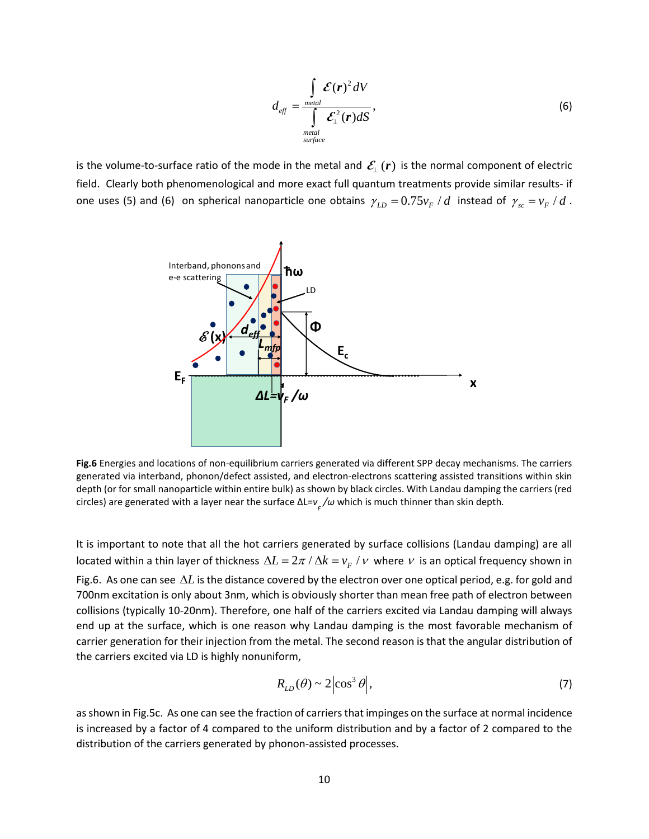$$
d_{\text{eff}} = \frac{\int_{\text{metal}} \mathcal{E}(\mathbf{r})^2 dV}{\int_{\text{metal}} \mathcal{E}_{\perp}^2(\mathbf{r}) dS},\tag{6}
$$

is the volume-to-surface ratio of the mode in the metal and  $\mathcal{E}_{\perp}(r)$  is the normal component of electric field. Clearly both phenomenological and more exact full quantum treatments provide similar results- if one uses (5) and (6) on spherical nanoparticle one obtains  $\gamma_{LD} = 0.75 v_F / d$  instead of  $\gamma_{sc} = v_F / d$ .



**Fig.6** Energies and locations of non-equilibrium carriers generated via different SPP decay mechanisms. The carriers generated via interband, phonon/defect assisted, and electron-electrons scattering assisted transitions within skin depth (or for small nanoparticle within entire bulk) as shown by black circles. With Landau damping the carriers (red circles) are generated with a layer near the surface ΔL=*v <sup>F</sup> /<sup>ω</sup>* which is much thinner than skin depth*.*

It is important to note that all the hot carriers generated by surface collisions (Landau damping) are all located within a thin layer of thickness  $\Delta L = 2\pi / \Delta k = v_F / \nu$  where  $\nu$  is an optical frequency shown in Fig.6. As one can see ∆*L* is the distance covered by the electron over one optical period, e.g. for gold and 700nm excitation is only about 3nm, which is obviously shorter than mean free path of electron between collisions (typically 10-20nm). Therefore, one half of the carriers excited via Landau damping will always end up at the surface, which is one reason why Landau damping is the most favorable mechanism of carrier generation for their injection from the metal. The second reason is that the angular distribution of the carriers excited via LD is highly nonuniform,

$$
R_{LD}(\theta) \sim 2 \left| \cos^3 \theta \right|,\tag{7}
$$

as shown in Fig.5c. As one can see the fraction of carriers that impinges on the surface at normal incidence is increased by a factor of 4 compared to the uniform distribution and by a factor of 2 compared to the distribution of the carriers generated by phonon-assisted processes.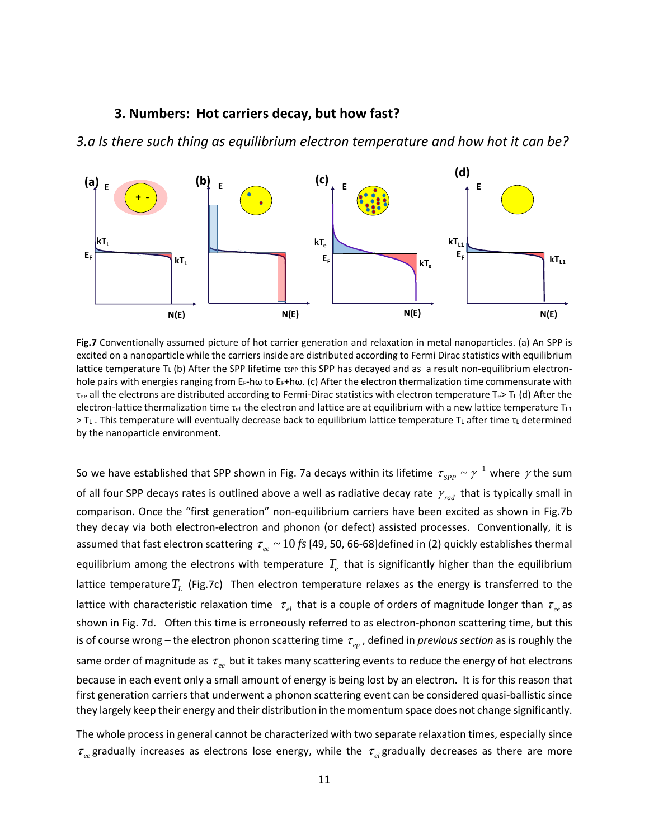#### **3. Numbers: Hot carriers decay, but how fast?**

*3.a Is there such thing as equilibrium electron temperature and how hot it can be?* 



**Fig.7** Conventionally assumed picture of hot carrier generation and relaxation in metal nanoparticles. (a) An SPP is excited on a nanoparticle while the carriers inside are distributed according to Fermi Dirac statistics with equilibrium lattice temperature T<sub>L</sub> (b) After the SPP lifetime  $\tau_{SPP}$  this SPP has decayed and as a result non-equilibrium electronhole pairs with energies ranging from E<sub>F</sub>-hω to E<sub>F</sub>+hω. (c) After the electron thermalization time commensurate with  $T_{ee}$  all the electrons are distributed according to Fermi-Dirac statistics with electron temperature T<sub>e</sub>> T<sub>L</sub> (d) After the electron-lattice thermalization time  $\tau_{el}$  the electron and lattice are at equilibrium with a new lattice temperature  $T_{Li}$ > T<sub>L</sub>. This temperature will eventually decrease back to equilibrium lattice temperature T<sub>L</sub> after time τ<sub>L</sub> determined by the nanoparticle environment.

So we have established that SPP shown in Fig. 7a decays within its lifetime  $\tau_{SPP} \sim \gamma^{-1}$  where  $\gamma$  the sum of all four SPP decays rates is outlined above a well as radiative decay rate  $\gamma_{rad}$  that is typically small in comparison. Once the "first generation" non-equilibrium carriers have been excited as shown in Fig.7b they decay via both electron-electron and phonon (or defect) assisted processes. Conventionally, it is assumed that fast electron scattering  $\tau_{ee} \sim 10$  *fs* [49, 50, 66-68]defined in (2) quickly establishes thermal equilibrium among the electrons with temperature  $T_{e}$  that is significantly higher than the equilibrium lattice temperature  $T_L$  (Fig.7c) Then electron temperature relaxes as the energy is transferred to the lattice with characteristic relaxation time  $\tau_{el}$  that is a couple of orders of magnitude longer than  $\tau_{ee}$  as shown in Fig. 7d. Often this time is erroneously referred to as electron-phonon scattering time, but this is of course wrong – the electron phonon scattering time  $\tau_{en}$ , defined in *previous section* as is roughly the same order of magnitude as  $\tau_{ee}$  but it takes many scattering events to reduce the energy of hot electrons because in each event only a small amount of energy is being lost by an electron. It is for this reason that first generation carriers that underwent a phonon scattering event can be considered quasi-ballistic since they largely keep their energy and their distribution in the momentum space does not change significantly.

The whole process in general cannot be characterized with two separate relaxation times, especially since  $\tau_{ee}$  gradually increases as electrons lose energy, while the  $\tau_{ee}$  gradually decreases as there are more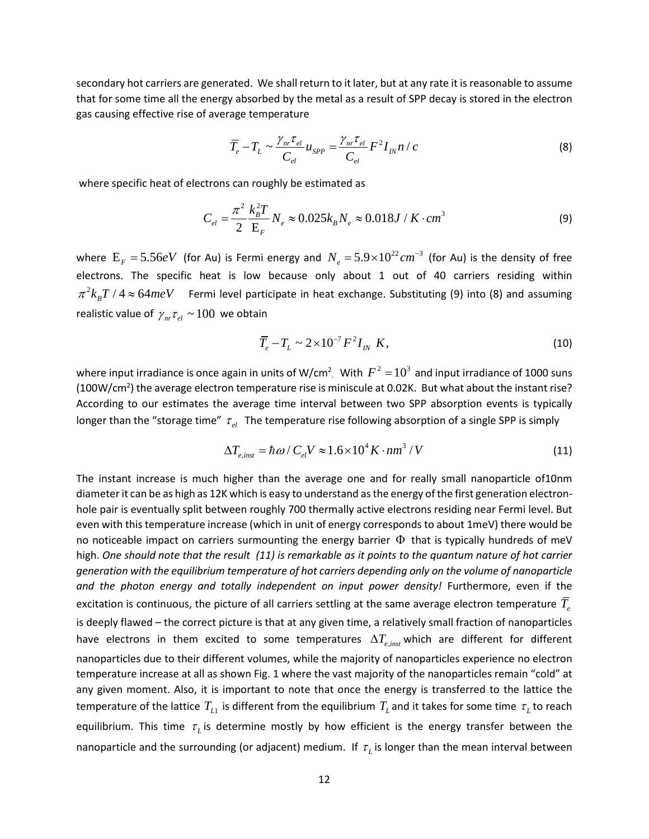secondary hot carriers are generated. We shall return to it later, but at any rate it is reasonable to assume that for some time all the energy absorbed by the metal as a result of SPP decay is stored in the electron gas causing effective rise of average temperature

$$
\overline{T}_e - T_L \sim \frac{\gamma_{nr}\tau_{el}}{C_{el}} u_{SPP} = \frac{\gamma_{nr}\tau_{el}}{C_{el}} F^2 I_{IN} n / c
$$
\n(8)

where specific heat of electrons can roughly be estimated as

$$
C_{el} = \frac{\pi^2}{2} \frac{k_B^2 T}{E_F} N_e \approx 0.025 k_B N_e \approx 0.018 J / K \cdot cm^3
$$
 (9)

where  $E_F = 5.56 eV$  (for Au) is Fermi energy and  $N_e = 5.9 \times 10^{22} cm^{-3}$  (for Au) is the density of free electrons. The specific heat is low because only about 1 out of 40 carriers residing within  $\pi^2 k_B T / 4 \approx 64 meV$  Fermi level participate in heat exchange. Substituting (9) into (8) and assuming realistic value of  $\gamma_{nr} \tau_{el} \sim 100$  we obtain

$$
\overline{T}_e - T_L \sim 2 \times 10^{-7} F^2 I_{IN} K, \qquad (10)
$$

where input irradiance is once again in units of W/cm<sup>2</sup> With  $F^2 = 10^3$  and input irradiance of 1000 suns (100W/cm<sup>2</sup>) the average electron temperature rise is miniscule at 0.02K. But what about the instant rise? According to our estimates the average time interval between two SPP absorption events is typically longer than the "storage time"  $\tau_{el}$  The temperature rise following absorption of a single SPP is simply

$$
\Delta T_{e,inst} = \hbar \omega / C_{el} V \approx 1.6 \times 10^4 K \cdot nm^3 / V \tag{11}
$$

The instant increase is much higher than the average one and for really small nanoparticle of10nm diameter it can be as high as 12K which is easy to understand as the energy of the first generation electronhole pair is eventually split between roughly 700 thermally active electrons residing near Fermi level. But even with this temperature increase (which in unit of energy corresponds to about 1meV) there would be no noticeable impact on carriers surmounting the energy barrier  $\Phi$  that is typically hundreds of meV high. *One should note that the result (11) is remarkable as it points to the quantum nature of hot carrier generation with the equilibrium temperature of hot carriers depending only on the volume of nanoparticle and the photon energy and totally independent on input power density!* Furthermore, even if the excitation is continuous, the picture of all carriers settling at the same average electron temperature  $\overline{T}_e$ is deeply flawed – the correct picture is that at any given time, a relatively small fraction of nanoparticles have electrons in them excited to some temperatures  $\Delta T_{e,inst}$  which are different for different nanoparticles due to their different volumes, while the majority of nanoparticles experience no electron temperature increase at all as shown Fig. 1 where the vast majority of the nanoparticles remain "cold" at any given moment. Also, it is important to note that once the energy is transferred to the lattice the temperature of the lattice  $T_{L1}$  is different from the equilibrium  $T_{L}$  and it takes for some time  $\tau_{L}$  to reach equilibrium. This time  $\tau_L$  is determine mostly by how efficient is the energy transfer between the nanoparticle and the surrounding (or adjacent) medium. If  $\tau_L$  is longer than the mean interval between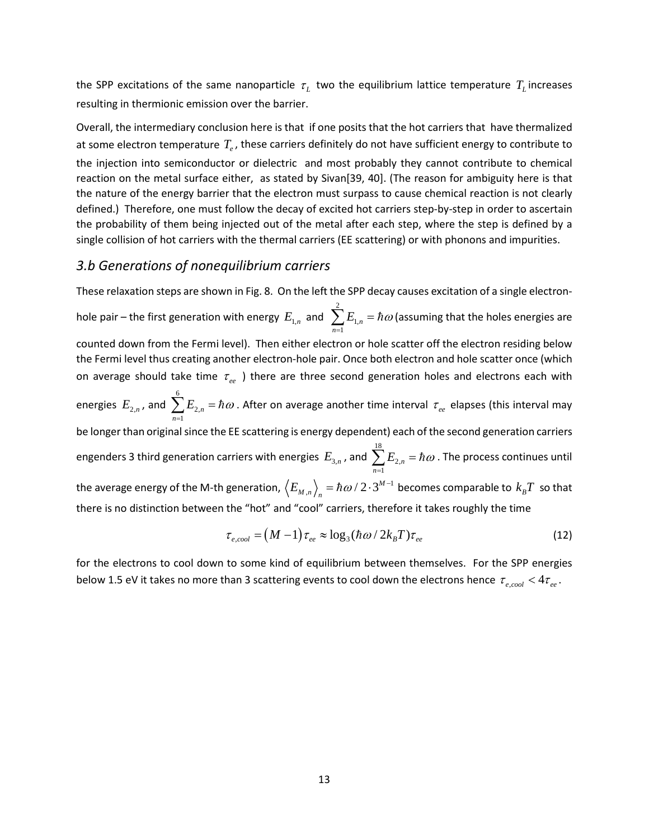the SPP excitations of the same nanoparticle  $\tau_L$  two the equilibrium lattice temperature  $T_L$  increases resulting in thermionic emission over the barrier.

Overall, the intermediary conclusion here is that if one posits that the hot carriers that have thermalized at some electron temperature  $T_e$ , these carriers definitely do not have sufficient energy to contribute to the injection into semiconductor or dielectric and most probably they cannot contribute to chemical reaction on the metal surface either, as stated by Sivan[39, 40]. (The reason for ambiguity here is that the nature of the energy barrier that the electron must surpass to cause chemical reaction is not clearly defined.) Therefore, one must follow the decay of excited hot carriers step-by-step in order to ascertain the probability of them being injected out of the metal after each step, where the step is defined by a single collision of hot carriers with the thermal carriers (EE scattering) or with phonons and impurities.

### *3.b Generations of nonequilibrium carriers*

These relaxation steps are shown in Fig. 8. On the left the SPP decay causes excitation of a single electronhole pair – the first generation with energy  $E_{1,n}^{\dagger}$  and 2 1, 1 *n n*  $E_{1,n} = \hbar \omega$  $\sum_{n=1} E_{1,n} = \hbar \omega$  (assuming that the holes energies are counted down from the Fermi level). Then either electron or hole scatter off the electron residing below the Fermi level thus creating another electron-hole pair. Once both electron and hole scatter once (which on average should take time  $\tau_{ee}$  ) there are three second generation holes and electrons each with energies  $E_{_{2,n}}$ , and 6 2, 1 *n n*  $E_{2n} = \hbar \omega$  $\sum_{n=1}^{\infty} E_{2,n} = \hbar \omega$  . After on average another time interval  $\tau_{ee}$  elapses (this interval may be longer than original since the EE scattering is energy dependent) each of the second generation carriers engenders 3 third generation carriers with energies  $E_{3,n}$  , and 18 2, 1 *n n*  $E_{2n} = \hbar \omega$  $\sum_{n=1}^{\infty} E_{2,n} = \hbar \omega$  . The process continues until the average energy of the M-th generation,  $\left< E_{M,n} \right>_n = \hbar \omega/2 \cdot 3^{M-1}$  becomes comparable to  $k_B T$  so that there is no distinction between the "hot" and "cool" carriers, therefore it takes roughly the time

$$
\tau_{e, cool} = (M - 1) \tau_{ee} \approx \log_3(\hbar \omega / 2k_B T) \tau_{ee}
$$
\n(12)

for the electrons to cool down to some kind of equilibrium between themselves. For the SPP energies below 1.5 eV it takes no more than 3 scattering events to cool down the electrons hence  $\tau_{e, cool} < 4\tau_{ee}$ .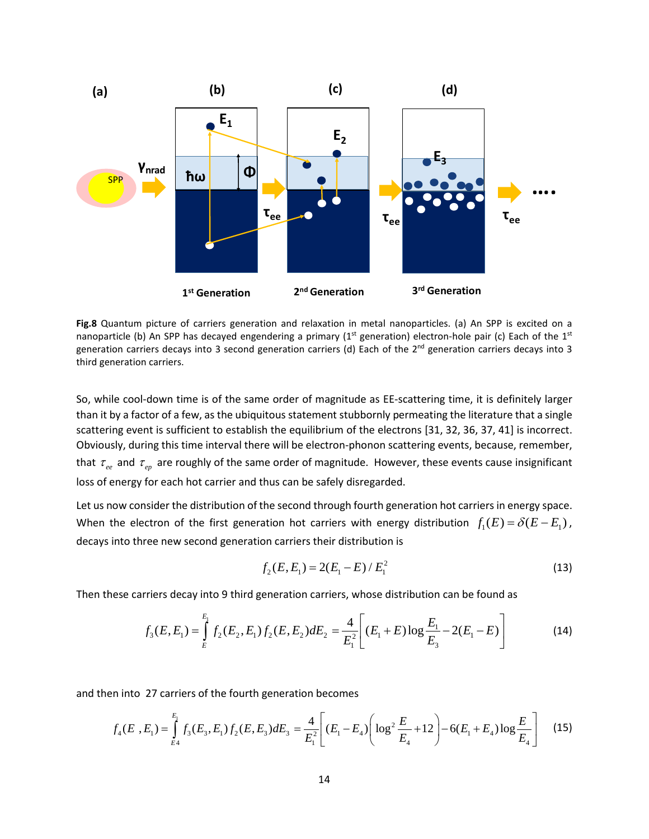

**Fig.8** Quantum picture of carriers generation and relaxation in metal nanoparticles. (a) An SPP is excited on a nanoparticle (b) An SPP has decayed engendering a primary ( $1<sup>st</sup>$  generation) electron-hole pair (c) Each of the  $1<sup>st</sup>$ generation carriers decays into 3 second generation carriers (d) Each of the 2<sup>nd</sup> generation carriers decays into 3 third generation carriers.

So, while cool-down time is of the same order of magnitude as EE-scattering time, it is definitely larger than it by a factor of a few, as the ubiquitous statement stubbornly permeating the literature that a single scattering event is sufficient to establish the equilibrium of the electrons [31, 32, 36, 37, 41] is incorrect. Obviously, during this time interval there will be electron-phonon scattering events, because, remember, that  $\tau_{ee}$  and  $\tau_{ep}$  are roughly of the same order of magnitude. However, these events cause insignificant loss of energy for each hot carrier and thus can be safely disregarded.

Let us now consider the distribution of the second through fourth generation hot carriers in energy space. When the electron of the first generation hot carriers with energy distribution  $f_1(E) = \delta(E - E_1)$ , decays into three new second generation carriers their distribution is

$$
f_2(E, E_1) = 2(E_1 - E) / E_1^2
$$
\n(13)

Then these carriers decay into 9 third generation carriers, whose distribution can be found as

$$
f_3(E, E_1) = \int_{E}^{E_1} f_2(E_2, E_1) f_2(E, E_2) dE_2 = \frac{4}{E_1^2} \left[ (E_1 + E) \log \frac{E_1}{E_3} - 2(E_1 - E) \right]
$$
(14)

and then into 27 carriers of the fourth generation becomes

$$
f_4(E_1, E_1) = \int_{E_4}^{E_1} f_3(E_3, E_1) f_2(E, E_3) dE_3 = \frac{4}{E_1^2} \left[ (E_1 - E_4) \left( \log^2 \frac{E}{E_4} + 12 \right) - 6(E_1 + E_4) \log \frac{E}{E_4} \right] \tag{15}
$$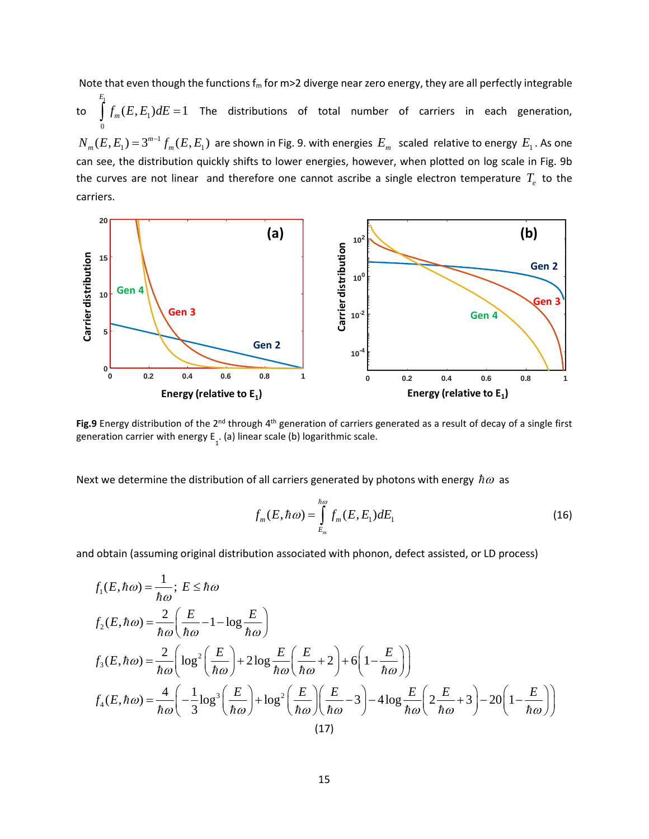Note that even though the functions  $f_m$  for m>2 diverge near zero energy, they are all perfectly integrable

to 1  $(E, E_1)dE = 1$  $\boldsymbol{0}$ *E*  $\int f_m(E,E_1)dE=1$  The distributions of total number of carriers in each generation,  $N_m(E,E_1)$  =  $3^{m-1}f_m(E,E_1)$  are shown in Fig. 9. with energies  $E_m$  scaled relative to energy  $E_1$  . As one can see, the distribution quickly shifts to lower energies, however, when plotted on log scale in Fig. 9b the curves are not linear and therefore one cannot ascribe a single electron temperature  $T_e$  to the carriers.



Fig.9 Energy distribution of the 2<sup>nd</sup> through 4<sup>th</sup> generation of carriers generated as a result of decay of a single first generation carrier with energy  $E_{1}$ . (a) linear scale (b) logarithmic scale.

Next we determine the distribution of all carriers generated by photons with energy  $\hbar\omega$  as

$$
f_m(E, \hbar \omega) = \int_{E_m}^{\hbar \omega} f_m(E, E_1) dE_1
$$
\n(16)

and obtain (assuming original distribution associated with phonon, defect assisted, or LD process)

$$
f_1(E, \hbar \omega) = \frac{1}{\hbar \omega}; E \leq \hbar \omega
$$
  
\n
$$
f_2(E, \hbar \omega) = \frac{2}{\hbar \omega} \left( \frac{E}{\hbar \omega} - 1 - \log \frac{E}{\hbar \omega} \right)
$$
  
\n
$$
f_3(E, \hbar \omega) = \frac{2}{\hbar \omega} \left( \log^2 \left( \frac{E}{\hbar \omega} \right) + 2 \log \frac{E}{\hbar \omega} \left( \frac{E}{\hbar \omega} + 2 \right) + 6 \left( 1 - \frac{E}{\hbar \omega} \right) \right)
$$
  
\n
$$
f_4(E, \hbar \omega) = \frac{4}{\hbar \omega} \left( -\frac{1}{3} \log^3 \left( \frac{E}{\hbar \omega} \right) + \log^2 \left( \frac{E}{\hbar \omega} \right) \left( \frac{E}{\hbar \omega} - 3 \right) - 4 \log \frac{E}{\hbar \omega} \left( 2 \frac{E}{\hbar \omega} + 3 \right) - 20 \left( 1 - \frac{E}{\hbar \omega} \right) \right)
$$
  
\n(17)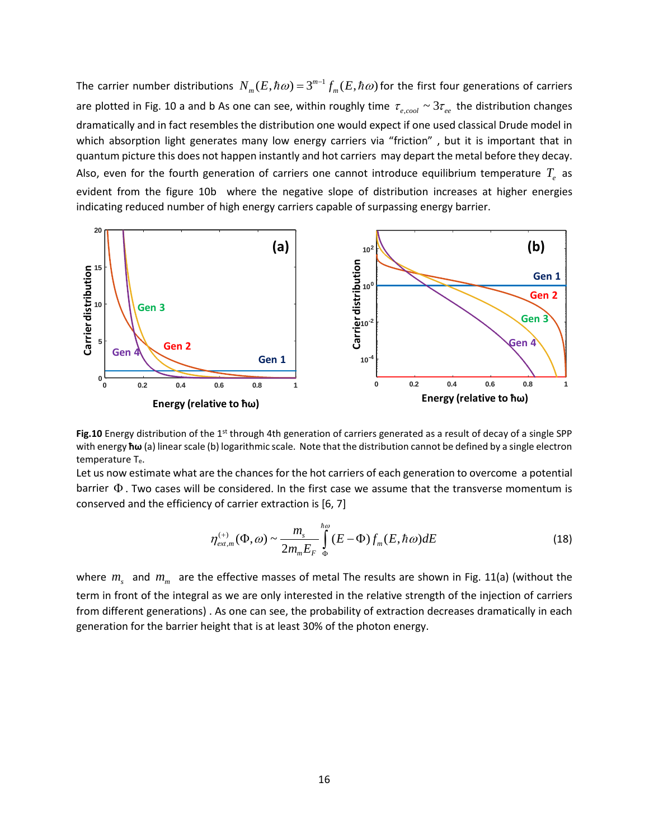The carrier number distributions  $N_m(E, \hbar \omega) = 3^{m-1} f_m(E, \hbar \omega)$  for the first four generations of carriers are plotted in Fig. 10 a and b As one can see, within roughly time  $\tau_{e, cool} \sim 3\tau_{ee}$  the distribution changes dramatically and in fact resembles the distribution one would expect if one used classical Drude model in which absorption light generates many low energy carriers via "friction", but it is important that in quantum picture this does not happen instantly and hot carriers may depart the metal before they decay. Also, even for the fourth generation of carriers one cannot introduce equilibrium temperature  $T_{e}$  as evident from the figure 10b where the negative slope of distribution increases at higher energies indicating reduced number of high energy carriers capable of surpassing energy barrier.



**Fig.10** Energy distribution of the 1<sup>st</sup> through 4th generation of carriers generated as a result of decay of a single SPP with energy **ħω** (a) linear scale (b) logarithmic scale. Note that the distribution cannot be defined by a single electron temperature Te.

Let us now estimate what are the chances for the hot carriers of each generation to overcome a potential barrier Φ . Two cases will be considered. In the first case we assume that the transverse momentum is conserved and the efficiency of carrier extraction is [6, 7]

$$
\eta_{ext,m}^{(+)}(\Phi,\omega) \sim \frac{m_s}{2m_m E_F} \int_{\Phi}^{\hbar\omega} (E - \Phi) f_m(E, \hbar\omega) dE \tag{18}
$$

where  $m_s$  and  $m_m$  are the effective masses of metal The results are shown in Fig. 11(a) (without the term in front of the integral as we are only interested in the relative strength of the injection of carriers from different generations) . As one can see, the probability of extraction decreases dramatically in each generation for the barrier height that is at least 30% of the photon energy.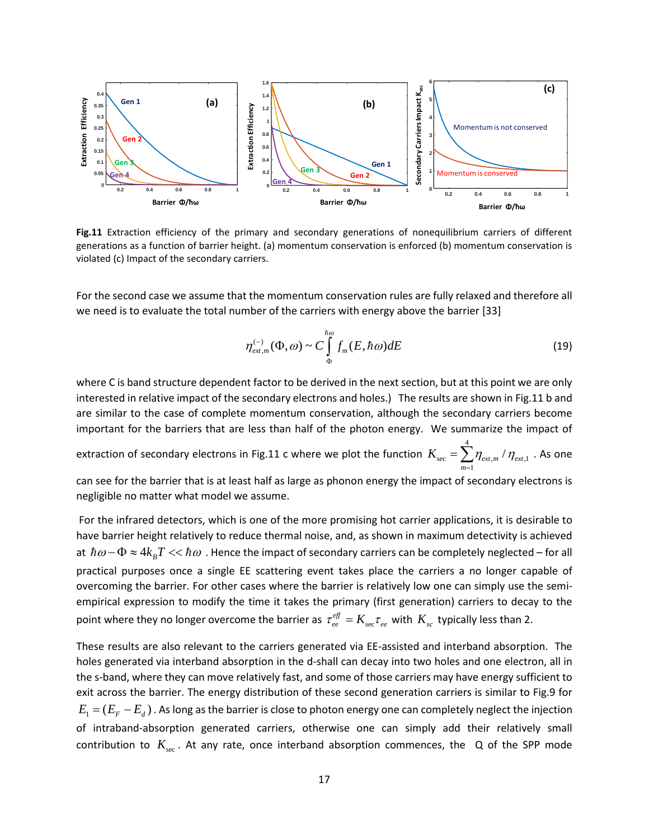

**Fig.11** Extraction efficiency of the primary and secondary generations of nonequilibrium carriers of different generations as a function of barrier height. (a) momentum conservation is enforced (b) momentum conservation is violated (c) Impact of the secondary carriers.

For the second case we assume that the momentum conservation rules are fully relaxed and therefore all we need is to evaluate the total number of the carriers with energy above the barrier [33]

$$
\eta_{ext,m}^{(-)}(\Phi,\omega) \sim C \int_{\Phi}^{\hbar\omega} f_m(E,\hbar\omega) dE \tag{19}
$$

where C is band structure dependent factor to be derived in the next section, but at this point we are only interested in relative impact of the secondary electrons and holes.) The results are shown in Fig.11 b and are similar to the case of complete momentum conservation, although the secondary carriers become important for the barriers that are less than half of the photon energy. We summarize the impact of

extraction of secondary electrons in Fig.11 c where we plot the function 4  $K_{\text{sec}} = \sum \eta_{\text{\tiny ext,m}} / \eta_{\text{\tiny ext,1}}$ 1 *m*  $= \sum_{m=1} \eta_{_{ext,m}}$  /  $\eta_{_{ext,1}}$  . As one

can see for the barrier that is at least half as large as phonon energy the impact of secondary electrons is negligible no matter what model we assume.

For the infrared detectors, which is one of the more promising hot carrier applications, it is desirable to have barrier height relatively to reduce thermal noise, and, as shown in maximum detectivity is achieved at  $\hbar\omega - \Phi \approx 4k_B T << \hbar\omega$ . Hence the impact of secondary carriers can be completely neglected – for all practical purposes once a single EE scattering event takes place the carriers a no longer capable of overcoming the barrier. For other cases where the barrier is relatively low one can simply use the semiempirical expression to modify the time it takes the primary (first generation) carriers to decay to the point where they no longer overcome the barrier as  $\tau_{ee}^{e\!f\!f} = K_{\rm sec} \tau_{ee}$  with  $K_{sc}$  typically less than 2.

These results are also relevant to the carriers generated via EE-assisted and interband absorption. The holes generated via interband absorption in the d-shall can decay into two holes and one electron, all in the s-band, where they can move relatively fast, and some of those carriers may have energy sufficient to exit across the barrier. The energy distribution of these second generation carriers is similar to Fig.9 for  $E_1 = (E_F - E_d)$ . As long as the barrier is close to photon energy one can completely neglect the injection of intraband-absorption generated carriers, otherwise one can simply add their relatively small contribution to  $K_{\text{sec}}$ . At any rate, once interband absorption commences, the Q of the SPP mode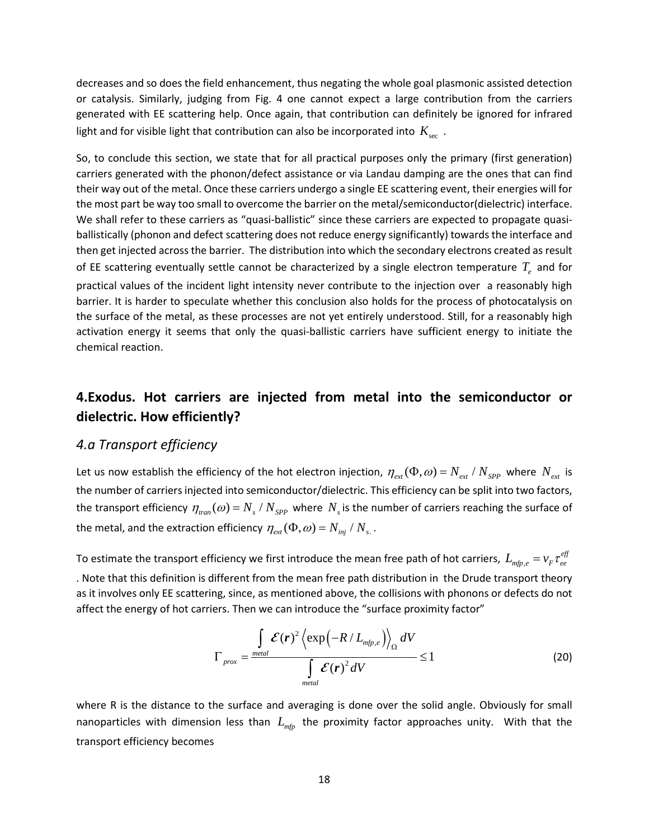decreases and so does the field enhancement, thus negating the whole goal plasmonic assisted detection or catalysis. Similarly, judging from Fig. 4 one cannot expect a large contribution from the carriers generated with EE scattering help. Once again, that contribution can definitely be ignored for infrared light and for visible light that contribution can also be incorporated into  $K_{\tiny\rm sec}$ .

So, to conclude this section, we state that for all practical purposes only the primary (first generation) carriers generated with the phonon/defect assistance or via Landau damping are the ones that can find their way out of the metal. Once these carriers undergo a single EE scattering event, their energies will for the most part be way too small to overcome the barrier on the metal/semiconductor(dielectric) interface. We shall refer to these carriers as "quasi-ballistic" since these carriers are expected to propagate quasiballistically (phonon and defect scattering does not reduce energy significantly) towards the interface and then get injected across the barrier. The distribution into which the secondary electrons created as result of EE scattering eventually settle cannot be characterized by a single electron temperature  $T_{e}$  and for practical values of the incident light intensity never contribute to the injection over a reasonably high barrier. It is harder to speculate whether this conclusion also holds for the process of photocatalysis on the surface of the metal, as these processes are not yet entirely understood. Still, for a reasonably high activation energy it seems that only the quasi-ballistic carriers have sufficient energy to initiate the chemical reaction.

# **4.Exodus. Hot carriers are injected from metal into the semiconductor or dielectric. How efficiently?**

#### *4.a Transport efficiency*

Let us now establish the efficiency of the hot electron injection,  $\eta_{ext}(\Phi,\omega) = N_{ext}/N_{SPP}$  where  $N_{ext}$  is the number of carriers injected into semiconductor/dielectric. This efficiency can be split into two factors, the transport efficiency  $\eta_{\text{tran}}(\omega) = N_s / N_{SPP}$  where  $N_s$  is the number of carriers reaching the surface of the metal, and the extraction efficiency  $\eta_{ext}(\Phi, \omega) = N_{ini} / N_{s}$ .

To estimate the transport efficiency we first introduce the mean free path of hot carriers,  $L_{_{mfp,e}}=$   $\nu_F\tau_{ee}^{e\!f}$ . Note that this definition is different from the mean free path distribution in the Drude transport theory as it involves only EE scattering, since, as mentioned above, the collisions with phonons or defects do not affect the energy of hot carriers. Then we can introduce the "surface proximity factor"

$$
\Gamma_{prox} = \frac{\int_{\text{metal}} \mathcal{E}(\mathbf{r})^2 \left\langle \exp\left(-R/L_{\text{mfp},e}\right) \right\rangle_{\Omega} dV}{\int_{\text{metal}} \mathcal{E}(\mathbf{r})^2 dV} \leq 1
$$
\n(20)

where R is the distance to the surface and averaging is done over the solid angle. Obviously for small nanoparticles with dimension less than  $L_{\text{min}}$  the proximity factor approaches unity. With that the transport efficiency becomes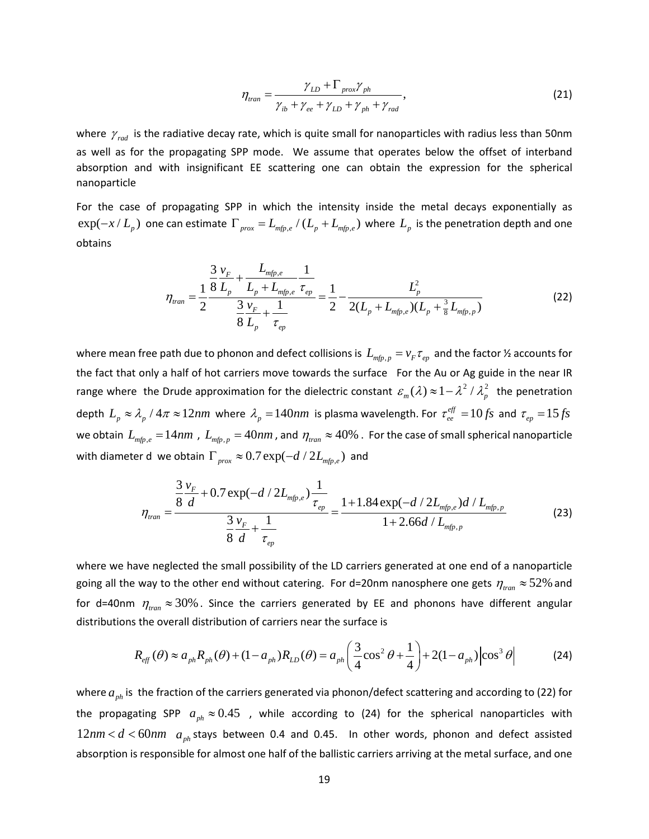$$
\eta_{\text{tran}} = \frac{\gamma_{\text{LD}} + \Gamma_{\text{prox}} \gamma_{\text{ph}}}{\gamma_{\text{ib}} + \gamma_{\text{ee}} + \gamma_{\text{LD}} + \gamma_{\text{ph}} + \gamma_{\text{rad}}},\tag{21}
$$

where  $\gamma_{rad}$  is the radiative decay rate, which is quite small for nanoparticles with radius less than 50nm as well as for the propagating SPP mode. We assume that operates below the offset of interband absorption and with insignificant EE scattering one can obtain the expression for the spherical nanoparticle

For the case of propagating SPP in which the intensity inside the metal decays exponentially as  $\exp(-x/L_p)$  one can estimate  $\Gamma_{prox} = L_{mfp,e}/(L_p + L_{mfp,e})$  where  $L_p$  is the penetration depth and one obtains

$$
\eta_{\text{tran}} = \frac{1}{2} \frac{\frac{3}{8} \frac{v_F}{L_p} + \frac{L_{\text{mfp},e}}{L_p + L_{\text{mfp},e}} \frac{1}{\tau_{ep}}}{\frac{3}{8} \frac{v_F}{L_p} + \frac{1}{\tau_{ep}}} = \frac{1}{2} - \frac{L_p^2}{2(L_p + L_{\text{mfp},e})(L_p + \frac{3}{8} L_{\text{mfp},p})}
$$
(22)

where mean free path due to phonon and defect collisions is  $L_{mfp,p} = v_F \tau_{ep}$  and the factor  $\frac{1}{2}$  accounts for the fact that only a half of hot carriers move towards the surface For the Au or Ag guide in the near IR range where the Drude approximation for the dielectric constant  $\mathcal{E}_m(\lambda) \approx 1 - \lambda^2 / \lambda_p^2$  the penetration depth  $L_p \approx \lambda_p$  /  $4\pi \approx 12nm$  where  $\lambda_p = 140nm$  is plasma wavelength. For  $\tau_{ee}^{eff} = 10fs$  and  $\tau_{ep} = 15fs$ we obtain  $L_{mfp,e} = 14 nm$ ,  $L_{mfp,p} = 40 nm$ , and  $\eta_{tran} \approx 40\%$ . For the case of small spherical nanoparticle with diameter d we obtain  $\Gamma_{prox} \approx 0.7 \exp(-d / 2L_{min,e})$  and

$$
\eta_{tran} = \frac{\frac{3}{8} \frac{v_F}{d} + 0.7 \exp(-d/2L_{mfp,e}) \frac{1}{\tau_{ep}}}{\frac{3}{8} \frac{v_F}{d} + \frac{1}{\tau_{ep}}} = \frac{1 + 1.84 \exp(-d/2L_{mfp,e})d/L_{mfp,p}}{1 + 2.66d/L_{mfp,p}}
$$
(23)

where we have neglected the small possibility of the LD carriers generated at one end of a nanoparticle going all the way to the other end without catering. For d=20nm nanosphere one gets  $\eta_{tran} \approx 52\%$  and for d=40nm  $\eta_{\text{tran}} \approx 30\%$ . Since the carriers generated by EE and phonons have different angular distributions the overall distribution of carriers near the surface is

$$
R_{\text{eff}}(\theta) \approx a_{\text{ph}} R_{\text{ph}}(\theta) + (1 - a_{\text{ph}}) R_{\text{LD}}(\theta) = a_{\text{ph}} \left( \frac{3}{4} \cos^2 \theta + \frac{1}{4} \right) + 2(1 - a_{\text{ph}}) \left| \cos^3 \theta \right| \tag{24}
$$

where  $a_{n}$  is the fraction of the carriers generated via phonon/defect scattering and according to (22) for the propagating SPP  $a_{ph} \approx 0.45$  , while according to (24) for the spherical nanoparticles with  $12 nm < d < 60 nm$   $a_{ph}$  stays between 0.4 and 0.45. In other words, phonon and defect assisted absorption is responsible for almost one half of the ballistic carriers arriving at the metal surface, and one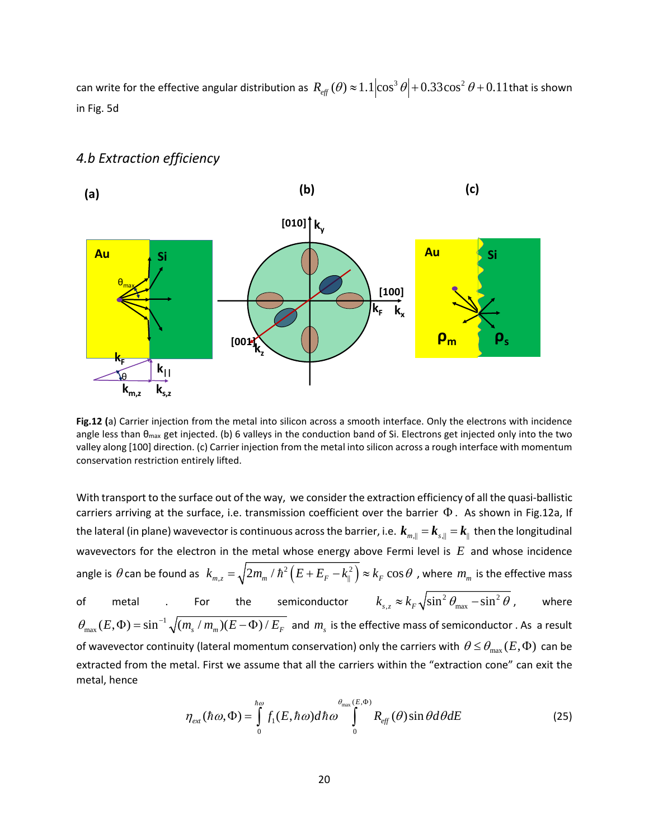can write for the effective angular distribution as  $R_{_{eff}}(\theta) \approx 1.1 [\cos^3 \theta] + 0.33 \cos^2 \theta + 0.11$  that is shown in Fig. 5d



# *4.b Extraction efficiency*

**Fig.12 (**a) Carrier injection from the metal into silicon across a smooth interface. Only the electrons with incidence angle less than  $\theta_{\text{max}}$  get injected. (b) 6 valleys in the conduction band of Si. Electrons get injected only into the two valley along [100] direction. (c) Carrier injection from the metal into silicon across a rough interface with momentum conservation restriction entirely lifted.

With transport to the surface out of the way, we consider the extraction efficiency of all the quasi-ballistic carriers arriving at the surface, i.e. transmission coefficient over the barrier Φ . As shown in Fig.12a, If the lateral (in plane) wavevector is continuous across the barrier, i.e.  $k_{m,||} = k_{s,||} = k_{||}$  then the longitudinal wavevectors for the electron in the metal whose energy above Fermi level is *E* and whose incidence angle is  $\theta$  can be found as  $k_{m,z}=\sqrt{2m_m$  /  $\hbar^2\left(E+E_F-k_\parallel^2\right)\approx k_F\cos\theta$  , where  $m_m$  is the effective mass of metal . For the semiconductor  $k_{_{S, z}} \approx k_{_F} \sqrt{\sin^2\theta_{\rm max}-\sin^2\theta}$  , where  $\theta_{\max}(E,\Phi)$  =  $\sin^{-1}\sqrt{(m_s/m_m)(E-\Phi)/E_F}$  and  $m_s$  is the effective mass of semiconductor . As a result of wavevector continuity (lateral momentum conservation) only the carriers with  $\theta \le \theta_{\max} (E, \Phi)$  can be extracted from the metal. First we assume that all the carriers within the "extraction cone" can exit the metal, hence

$$
\eta_{ext}(\hbar\omega,\Phi) = \int_{0}^{\hbar\omega} f_1(E,\hbar\omega) d\hbar\omega \int_{0}^{\theta_{\text{max}}(E,\Phi)} R_{\text{eff}}(\theta) \sin\theta d\theta dE \qquad (25)
$$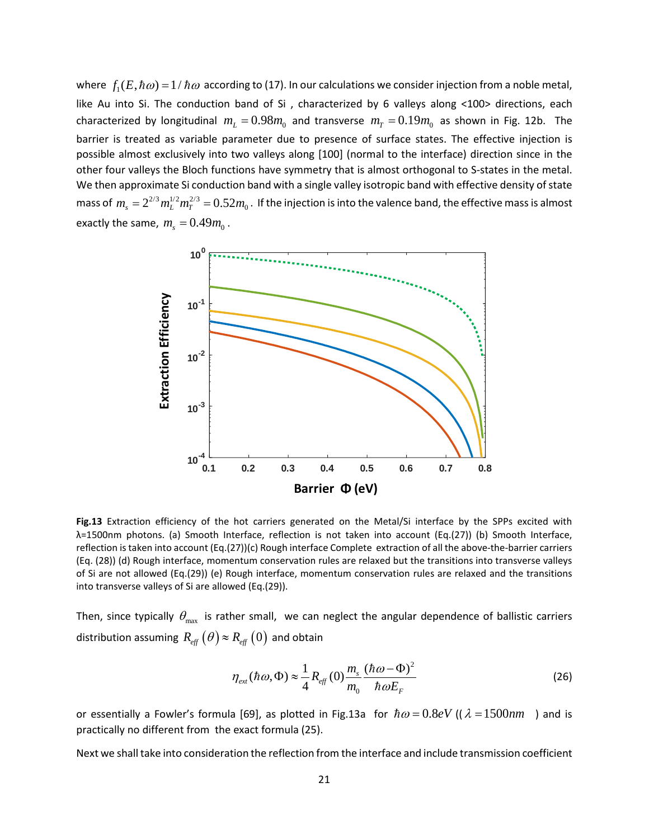where  $f_1(E, \hbar \omega) = 1/\hbar \omega$  according to (17). In our calculations we consider injection from a noble metal, like Au into Si. The conduction band of Si , characterized by 6 valleys along <100> directions, each characterized by longitudinal  $m<sub>L</sub> = 0.98 m<sub>0</sub>$  and transverse  $m<sub>T</sub> = 0.19 m<sub>0</sub>$  as shown in Fig. 12b. The barrier is treated as variable parameter due to presence of surface states. The effective injection is possible almost exclusively into two valleys along [100] (normal to the interface) direction since in the other four valleys the Bloch functions have symmetry that is almost orthogonal to S-states in the metal. We then approximate Si conduction band with a single valley isotropic band with effective density of state mass of  $m_s = 2^{2/3} m_L^{1/2} m_T^{2/3} = 0.52 m_0$  . If the injection is into the valence band, the effective mass is almost exactly the same,  $m_s = 0.49 m_0$ .



**Fig.13** Extraction efficiency of the hot carriers generated on the Metal/Si interface by the SPPs excited with λ=1500nm photons. (a) Smooth Interface, reflection is not taken into account (Eq.(27)) (b) Smooth Interface, reflection is taken into account (Eq.(27))(c) Rough interface Complete extraction of all the above-the-barrier carriers (Eq. (28)) (d) Rough interface, momentum conservation rules are relaxed but the transitions into transverse valleys of Si are not allowed (Eq.(29)) (e) Rough interface, momentum conservation rules are relaxed and the transitions into transverse valleys of Si are allowed (Eq.(29)).

Then, since typically  $\theta_{\text{max}}$  is rather small, we can neglect the angular dependence of ballistic carriers distribution assuming  $R_{\text{eff}}\left(\theta\right) \approx R_{\text{eff}}\left(0\right)$  and obtain

$$
\eta_{\text{ext}}(\hbar\omega,\Phi) \approx \frac{1}{4} R_{\text{eff}}(0) \frac{m_s}{m_0} \frac{(\hbar\omega - \Phi)^2}{\hbar\omega E_F} \tag{26}
$$

or essentially a Fowler's formula [69], as plotted in Fig.13a for  $\hbar \omega = 0.8 eV$  (( $\lambda = 1500$ *nm*) and is practically no different from the exact formula (25).

Next we shall take into consideration the reflection from the interface and include transmission coefficient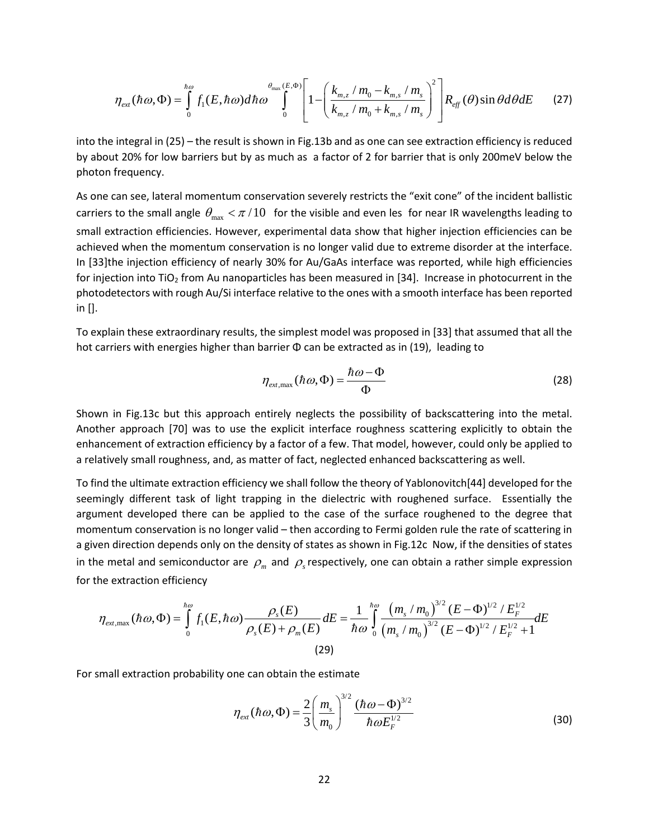$$
\eta_{ext}(\hbar\omega,\Phi) = \int_{0}^{\hbar\omega} f_1(E,\hbar\omega) d\hbar\omega \int_{0}^{\theta_{\text{max}}(E,\Phi)} \left[1 - \left(\frac{k_{m,z}/m_0 - k_{m,s}/m_s}{k_{m,z}/m_0 + k_{m,s}/m_s}\right)^2 \right] R_{\text{eff}}(\theta) \sin\theta d\theta dE \qquad (27)
$$

into the integral in (25) – the result is shown in Fig.13b and as one can see extraction efficiency is reduced by about 20% for low barriers but by as much as a factor of 2 for barrier that is only 200meV below the photon frequency.

As one can see, lateral momentum conservation severely restricts the "exit cone" of the incident ballistic carriers to the small angle  $\theta_{\text{max}} < \pi/10$  for the visible and even les for near IR wavelengths leading to small extraction efficiencies. However, experimental data show that higher injection efficiencies can be achieved when the momentum conservation is no longer valid due to extreme disorder at the interface. In [33]the injection efficiency of nearly 30% for Au/GaAs interface was reported, while high efficiencies for injection into TiO<sub>2</sub> from Au nanoparticles has been measured in [34]. Increase in photocurrent in the photodetectors with rough Au/Si interface relative to the ones with a smooth interface has been reported in [].

To explain these extraordinary results, the simplest model was proposed in [33] that assumed that all the hot carriers with energies higher than barrier  $\Phi$  can be extracted as in (19), leading to

$$
\eta_{\text{ext,max}}(\hbar\omega,\Phi) = \frac{\hbar\omega - \Phi}{\Phi} \tag{28}
$$

Shown in Fig.13c but this approach entirely neglects the possibility of backscattering into the metal. Another approach [70] was to use the explicit interface roughness scattering explicitly to obtain the enhancement of extraction efficiency by a factor of a few. That model, however, could only be applied to a relatively small roughness, and, as matter of fact, neglected enhanced backscattering as well.

To find the ultimate extraction efficiency we shall follow the theory of Yablonovitch[44] developed for the seemingly different task of light trapping in the dielectric with roughened surface. Essentially the argument developed there can be applied to the case of the surface roughened to the degree that momentum conservation is no longer valid – then according to Fermi golden rule the rate of scattering in a given direction depends only on the density of states as shown in Fig.12c Now, if the densities of states in the metal and semiconductor are  $\rho_m$  and  $\rho_s$  respectively, one can obtain a rather simple expression for the extraction efficiency

$$
\eta_{\text{ext,max}}(\hbar\omega,\Phi) = \int_{0}^{\hbar\omega} f_1(E,\hbar\omega) \frac{\rho_s(E)}{\rho_s(E) + \rho_m(E)} dE = \frac{1}{\hbar\omega} \int_{0}^{\hbar\omega} \frac{\left(m_s/m_0\right)^{3/2} (E - \Phi)^{1/2} / E_F^{1/2}}{\left(m_s/m_0\right)^{3/2} (E - \Phi)^{1/2} / E_F^{1/2} + 1} dE
$$
\n(29)

For small extraction probability one can obtain the estimate

$$
\eta_{ext}(\hbar\omega,\Phi) = \frac{2}{3} \left(\frac{m_s}{m_0}\right)^{3/2} \frac{(\hbar\omega-\Phi)^{3/2}}{\hbar\omega E_F^{1/2}}
$$
(30)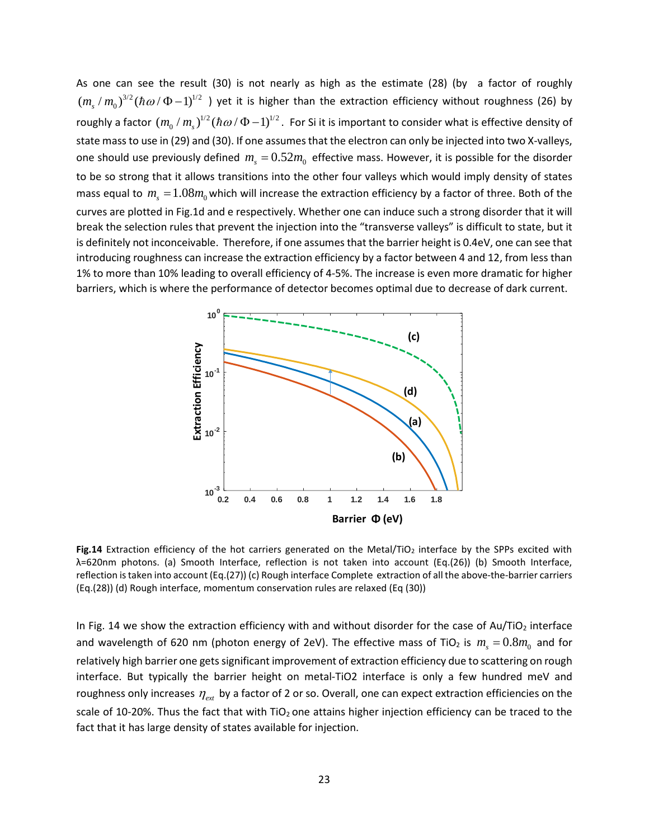As one can see the result (30) is not nearly as high as the estimate (28) (by a factor of roughly  $(m_s/m_0)^{3/2}(\hbar\omega/\Phi-1)^{1/2}$  ) yet it is higher than the extraction efficiency without roughness (26) by roughly a factor  $(m_0/m_s)^{1/2}(\hbar\omega/\Phi-1)^{1/2}$ . For Si it is important to consider what is effective density of state mass to use in (29) and (30). If one assumes that the electron can only be injected into two X-valleys, one should use previously defined  $m_s = 0.52 m_0$  effective mass. However, it is possible for the disorder to be so strong that it allows transitions into the other four valleys which would imply density of states mass equal to  $m<sub>r</sub> = 1.08 m<sub>0</sub>$  which will increase the extraction efficiency by a factor of three. Both of the curves are plotted in Fig.1d and e respectively. Whether one can induce such a strong disorder that it will break the selection rules that prevent the injection into the "transverse valleys" is difficult to state, but it is definitely not inconceivable. Therefore, if one assumes that the barrier height is 0.4eV, one can see that introducing roughness can increase the extraction efficiency by a factor between 4 and 12, from less than 1% to more than 10% leading to overall efficiency of 4-5%. The increase is even more dramatic for higher barriers, which is where the performance of detector becomes optimal due to decrease of dark current.



Fig.14 Extraction efficiency of the hot carriers generated on the Metal/TiO<sub>2</sub> interface by the SPPs excited with λ=620nm photons. (a) Smooth Interface, reflection is not taken into account (Eq.(26)) (b) Smooth Interface, reflection is taken into account (Eq.(27)) (c) Rough interface Complete extraction of all the above-the-barrier carriers (Eq.(28)) (d) Rough interface, momentum conservation rules are relaxed (Eq (30))

In Fig. 14 we show the extraction efficiency with and without disorder for the case of  $Au/TiO<sub>2</sub>$  interface and wavelength of 620 nm (photon energy of 2eV). The effective mass of TiO<sub>2</sub> is  $m_s = 0.8 m_0$  and for relatively high barrier one gets significant improvement of extraction efficiency due to scattering on rough interface. But typically the barrier height on metal-TiO2 interface is only a few hundred meV and roughness only increases  $η_{ext}$  by a factor of 2 or so. Overall, one can expect extraction efficiencies on the scale of 10-20%. Thus the fact that with TiO<sub>2</sub> one attains higher injection efficiency can be traced to the fact that it has large density of states available for injection.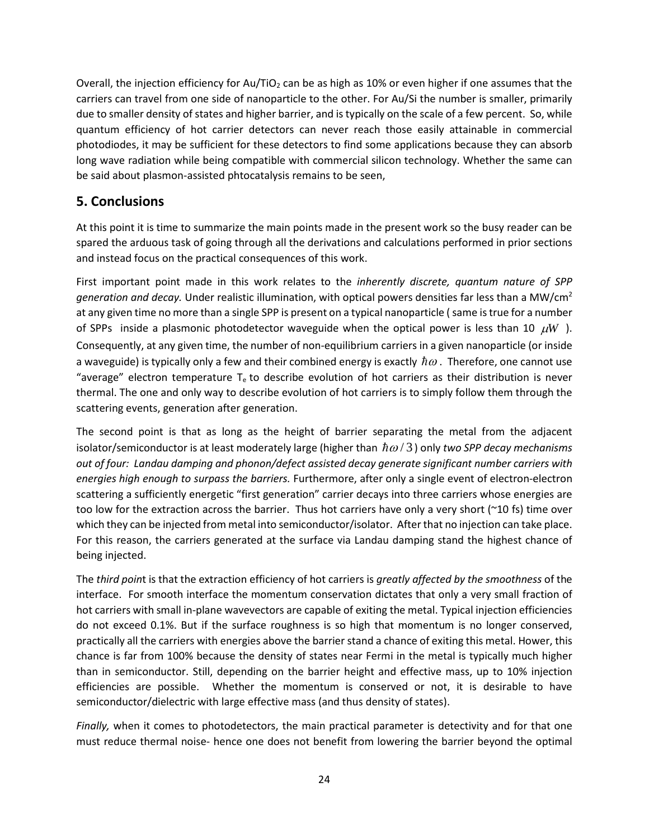Overall, the injection efficiency for Au/TiO<sub>2</sub> can be as high as 10% or even higher if one assumes that the carriers can travel from one side of nanoparticle to the other. For Au/Si the number is smaller, primarily due to smaller density of states and higher barrier, and is typically on the scale of a few percent. So, while quantum efficiency of hot carrier detectors can never reach those easily attainable in commercial photodiodes, it may be sufficient for these detectors to find some applications because they can absorb long wave radiation while being compatible with commercial silicon technology. Whether the same can be said about plasmon-assisted phtocatalysis remains to be seen,

## **5. Conclusions**

At this point it is time to summarize the main points made in the present work so the busy reader can be spared the arduous task of going through all the derivations and calculations performed in prior sections and instead focus on the practical consequences of this work.

First important point made in this work relates to the *inherently discrete, quantum nature of SPP generation and decay.* Under realistic illumination, with optical powers densities far less than a MW/cm2 at any given time no more than a single SPP is present on a typical nanoparticle ( same is true for a number of SPPs inside a plasmonic photodetector waveguide when the optical power is less than 10  $\mu$ *W*). Consequently, at any given time, the number of non-equilibrium carriers in a given nanoparticle (or inside a waveguide) is typically only a few and their combined energy is exactly  $\hbar\omega$ . Therefore, one cannot use "average" electron temperature  $T<sub>e</sub>$  to describe evolution of hot carriers as their distribution is never thermal. The one and only way to describe evolution of hot carriers is to simply follow them through the scattering events, generation after generation.

The second point is that as long as the height of barrier separating the metal from the adjacent isolator/semiconductor is at least moderately large (higher than  $\hbar \omega / 3$ ) only *two SPP decay mechanisms out of four: Landau damping and phonon/defect assisted decay generate significant number carriers with energies high enough to surpass the barriers.* Furthermore, after only a single event of electron-electron scattering a sufficiently energetic "first generation" carrier decays into three carriers whose energies are too low for the extraction across the barrier. Thus hot carriers have only a very short (~10 fs) time over which they can be injected from metal into semiconductor/isolator. After that no injection can take place. For this reason, the carriers generated at the surface via Landau damping stand the highest chance of being injected.

The *third poin*t is that the extraction efficiency of hot carriers is *greatly affected by the smoothness* of the interface. For smooth interface the momentum conservation dictates that only a very small fraction of hot carriers with small in-plane wavevectors are capable of exiting the metal. Typical injection efficiencies do not exceed 0.1%. But if the surface roughness is so high that momentum is no longer conserved, practically all the carriers with energies above the barrier stand a chance of exiting this metal. Hower, this chance is far from 100% because the density of states near Fermi in the metal is typically much higher than in semiconductor. Still, depending on the barrier height and effective mass, up to 10% injection efficiencies are possible. Whether the momentum is conserved or not, it is desirable to have semiconductor/dielectric with large effective mass (and thus density of states).

*Finally,* when it comes to photodetectors, the main practical parameter is detectivity and for that one must reduce thermal noise- hence one does not benefit from lowering the barrier beyond the optimal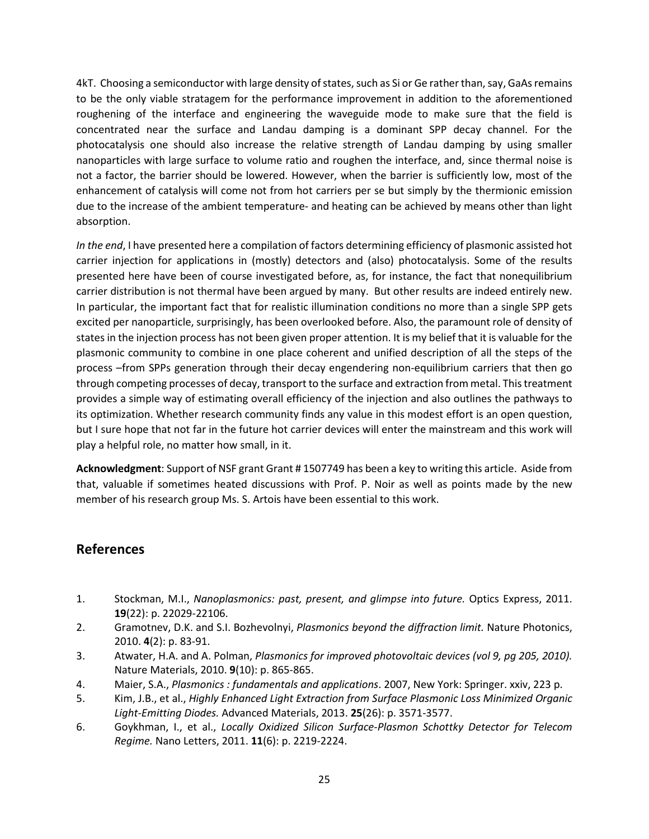4kT. Choosing a semiconductor with large density of states, such as Si or Ge rather than, say, GaAs remains to be the only viable stratagem for the performance improvement in addition to the aforementioned roughening of the interface and engineering the waveguide mode to make sure that the field is concentrated near the surface and Landau damping is a dominant SPP decay channel. For the photocatalysis one should also increase the relative strength of Landau damping by using smaller nanoparticles with large surface to volume ratio and roughen the interface, and, since thermal noise is not a factor, the barrier should be lowered. However, when the barrier is sufficiently low, most of the enhancement of catalysis will come not from hot carriers per se but simply by the thermionic emission due to the increase of the ambient temperature- and heating can be achieved by means other than light absorption.

*In the end*, I have presented here a compilation of factors determining efficiency of plasmonic assisted hot carrier injection for applications in (mostly) detectors and (also) photocatalysis. Some of the results presented here have been of course investigated before, as, for instance, the fact that nonequilibrium carrier distribution is not thermal have been argued by many. But other results are indeed entirely new. In particular, the important fact that for realistic illumination conditions no more than a single SPP gets excited per nanoparticle, surprisingly, has been overlooked before. Also, the paramount role of density of states in the injection process has not been given proper attention. It is my belief that it is valuable for the plasmonic community to combine in one place coherent and unified description of all the steps of the process –from SPPs generation through their decay engendering non-equilibrium carriers that then go through competing processes of decay, transport to the surface and extraction from metal. This treatment provides a simple way of estimating overall efficiency of the injection and also outlines the pathways to its optimization. Whether research community finds any value in this modest effort is an open question, but I sure hope that not far in the future hot carrier devices will enter the mainstream and this work will play a helpful role, no matter how small, in it.

**Acknowledgment**: Support of NSF grant Grant # 1507749 has been a key to writing this article. Aside from that, valuable if sometimes heated discussions with Prof. P. Noir as well as points made by the new member of his research group Ms. S. Artois have been essential to this work.

### **References**

- 1. Stockman, M.I., *Nanoplasmonics: past, present, and glimpse into future.* Optics Express, 2011. **19**(22): p. 22029-22106.
- 2. Gramotnev, D.K. and S.I. Bozhevolnyi, *Plasmonics beyond the diffraction limit.* Nature Photonics, 2010. **4**(2): p. 83-91.
- 3. Atwater, H.A. and A. Polman, *Plasmonics for improved photovoltaic devices (vol 9, pg 205, 2010).* Nature Materials, 2010. **9**(10): p. 865-865.
- 4. Maier, S.A., *Plasmonics : fundamentals and applications*. 2007, New York: Springer. xxiv, 223 p.
- 5. Kim, J.B., et al., *Highly Enhanced Light Extraction from Surface Plasmonic Loss Minimized Organic Light-Emitting Diodes.* Advanced Materials, 2013. **25**(26): p. 3571-3577.
- 6. Goykhman, I., et al., *Locally Oxidized Silicon Surface-Plasmon Schottky Detector for Telecom Regime.* Nano Letters, 2011. **11**(6): p. 2219-2224.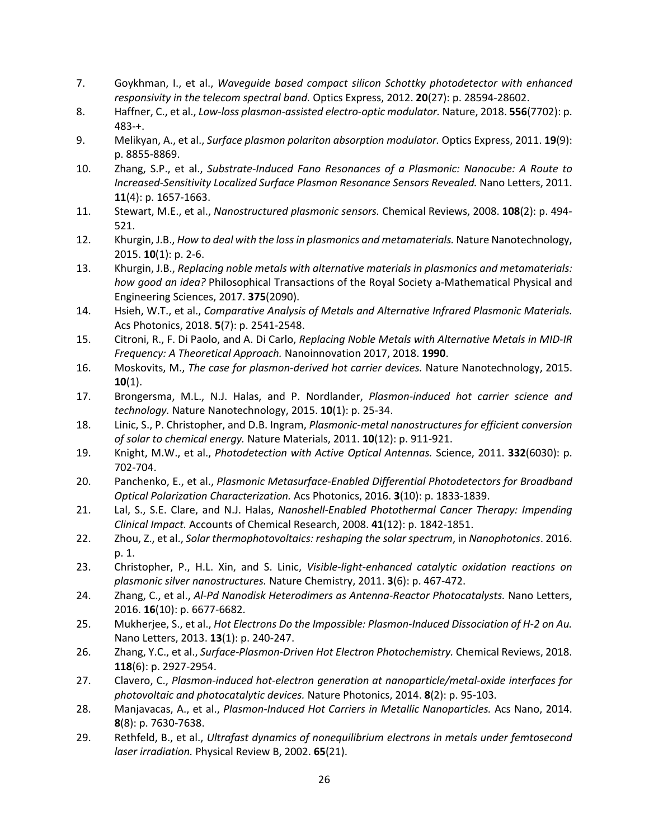- 7. Goykhman, I., et al., *Waveguide based compact silicon Schottky photodetector with enhanced responsivity in the telecom spectral band.* Optics Express, 2012. **20**(27): p. 28594-28602.
- 8. Haffner, C., et al., *Low-loss plasmon-assisted electro-optic modulator.* Nature, 2018. **556**(7702): p. 483-+.
- 9. Melikyan, A., et al., *Surface plasmon polariton absorption modulator.* Optics Express, 2011. **19**(9): p. 8855-8869.
- 10. Zhang, S.P., et al., *Substrate-Induced Fano Resonances of a Plasmonic: Nanocube: A Route to Increased-Sensitivity Localized Surface Plasmon Resonance Sensors Revealed.* Nano Letters, 2011. **11**(4): p. 1657-1663.
- 11. Stewart, M.E., et al., *Nanostructured plasmonic sensors.* Chemical Reviews, 2008. **108**(2): p. 494- 521.
- 12. Khurgin, J.B., *How to deal with the loss in plasmonics and metamaterials.* Nature Nanotechnology, 2015. **10**(1): p. 2-6.
- 13. Khurgin, J.B., *Replacing noble metals with alternative materials in plasmonics and metamaterials: how good an idea?* Philosophical Transactions of the Royal Society a-Mathematical Physical and Engineering Sciences, 2017. **375**(2090).
- 14. Hsieh, W.T., et al., *Comparative Analysis of Metals and Alternative Infrared Plasmonic Materials.* Acs Photonics, 2018. **5**(7): p. 2541-2548.
- 15. Citroni, R., F. Di Paolo, and A. Di Carlo, *Replacing Noble Metals with Alternative Metals in MID-IR Frequency: A Theoretical Approach.* Nanoinnovation 2017, 2018. **1990**.
- 16. Moskovits, M., *The case for plasmon-derived hot carrier devices.* Nature Nanotechnology, 2015. **10**(1).
- 17. Brongersma, M.L., N.J. Halas, and P. Nordlander, *Plasmon-induced hot carrier science and technology.* Nature Nanotechnology, 2015. **10**(1): p. 25-34.
- 18. Linic, S., P. Christopher, and D.B. Ingram, *Plasmonic-metal nanostructures for efficient conversion of solar to chemical energy.* Nature Materials, 2011. **10**(12): p. 911-921.
- 19. Knight, M.W., et al., *Photodetection with Active Optical Antennas.* Science, 2011. **332**(6030): p. 702-704.
- 20. Panchenko, E., et al., *Plasmonic Metasurface-Enabled Differential Photodetectors for Broadband Optical Polarization Characterization.* Acs Photonics, 2016. **3**(10): p. 1833-1839.
- 21. Lal, S., S.E. Clare, and N.J. Halas, *Nanoshell-Enabled Photothermal Cancer Therapy: Impending Clinical Impact.* Accounts of Chemical Research, 2008. **41**(12): p. 1842-1851.
- 22. Zhou, Z., et al., *Solar thermophotovoltaics: reshaping the solar spectrum*, in *Nanophotonics*. 2016. p. 1.
- 23. Christopher, P., H.L. Xin, and S. Linic, *Visible-light-enhanced catalytic oxidation reactions on plasmonic silver nanostructures.* Nature Chemistry, 2011. **3**(6): p. 467-472.
- 24. Zhang, C., et al., *Al-Pd Nanodisk Heterodimers as Antenna-Reactor Photocatalysts.* Nano Letters, 2016. **16**(10): p. 6677-6682.
- 25. Mukherjee, S., et al., *Hot Electrons Do the Impossible: Plasmon-Induced Dissociation of H-2 on Au.* Nano Letters, 2013. **13**(1): p. 240-247.
- 26. Zhang, Y.C., et al., *Surface-Plasmon-Driven Hot Electron Photochemistry.* Chemical Reviews, 2018. **118**(6): p. 2927-2954.
- 27. Clavero, C., *Plasmon-induced hot-electron generation at nanoparticle/metal-oxide interfaces for photovoltaic and photocatalytic devices.* Nature Photonics, 2014. **8**(2): p. 95-103.
- 28. Manjavacas, A., et al., *Plasmon-Induced Hot Carriers in Metallic Nanoparticles.* Acs Nano, 2014. **8**(8): p. 7630-7638.
- 29. Rethfeld, B., et al., *Ultrafast dynamics of nonequilibrium electrons in metals under femtosecond laser irradiation.* Physical Review B, 2002. **65**(21).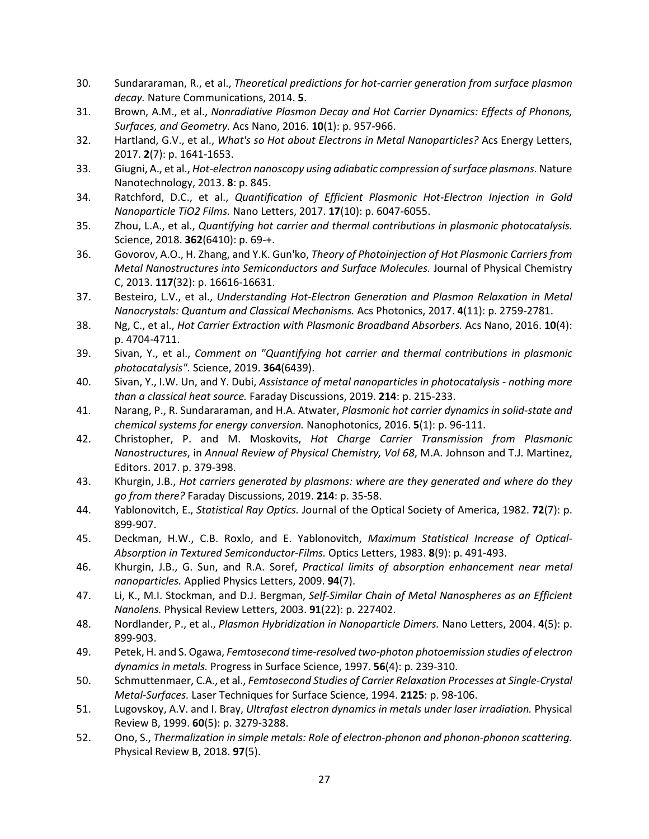- 30. Sundararaman, R., et al., *Theoretical predictions for hot-carrier generation from surface plasmon decay.* Nature Communications, 2014. **5**.
- 31. Brown, A.M., et al., *Nonradiative Plasmon Decay and Hot Carrier Dynamics: Effects of Phonons, Surfaces, and Geometry.* Acs Nano, 2016. **10**(1): p. 957-966.
- 32. Hartland, G.V., et al., *What's so Hot about Electrons in Metal Nanoparticles?* Acs Energy Letters, 2017. **2**(7): p. 1641-1653.
- 33. Giugni, A., et al., *Hot-electron nanoscopy using adiabatic compression of surface plasmons.* Nature Nanotechnology, 2013. **8**: p. 845.
- 34. Ratchford, D.C., et al., *Quantification of Efficient Plasmonic Hot-Electron Injection in Gold Nanoparticle TiO2 Films.* Nano Letters, 2017. **17**(10): p. 6047-6055.
- 35. Zhou, L.A., et al., *Quantifying hot carrier and thermal contributions in plasmonic photocatalysis.* Science, 2018. **362**(6410): p. 69-+.
- 36. Govorov, A.O., H. Zhang, and Y.K. Gun'ko, *Theory of Photoinjection of Hot Plasmonic Carriers from Metal Nanostructures into Semiconductors and Surface Molecules.* Journal of Physical Chemistry C, 2013. **117**(32): p. 16616-16631.
- 37. Besteiro, L.V., et al., *Understanding Hot-Electron Generation and Plasmon Relaxation in Metal Nanocrystals: Quantum and Classical Mechanisms.* Acs Photonics, 2017. **4**(11): p. 2759-2781.
- 38. Ng, C., et al., *Hot Carrier Extraction with Plasmonic Broadband Absorbers.* Acs Nano, 2016. **10**(4): p. 4704-4711.
- 39. Sivan, Y., et al., *Comment on "Quantifying hot carrier and thermal contributions in plasmonic photocatalysis".* Science, 2019. **364**(6439).
- 40. Sivan, Y., I.W. Un, and Y. Dubi, *Assistance of metal nanoparticles in photocatalysis - nothing more than a classical heat source.* Faraday Discussions, 2019. **214**: p. 215-233.
- 41. Narang, P., R. Sundararaman, and H.A. Atwater, *Plasmonic hot carrier dynamics in solid-state and chemical systems for energy conversion.* Nanophotonics, 2016. **5**(1): p. 96-111.
- 42. Christopher, P. and M. Moskovits, *Hot Charge Carrier Transmission from Plasmonic Nanostructures*, in *Annual Review of Physical Chemistry, Vol 68*, M.A. Johnson and T.J. Martinez, Editors. 2017. p. 379-398.
- 43. Khurgin, J.B., *Hot carriers generated by plasmons: where are they generated and where do they go from there?* Faraday Discussions, 2019. **214**: p. 35-58.
- 44. Yablonovitch, E., *Statistical Ray Optics.* Journal of the Optical Society of America, 1982. **72**(7): p. 899-907.
- 45. Deckman, H.W., C.B. Roxlo, and E. Yablonovitch, *Maximum Statistical Increase of Optical-Absorption in Textured Semiconductor-Films.* Optics Letters, 1983. **8**(9): p. 491-493.
- 46. Khurgin, J.B., G. Sun, and R.A. Soref, *Practical limits of absorption enhancement near metal nanoparticles.* Applied Physics Letters, 2009. **94**(7).
- 47. Li, K., M.I. Stockman, and D.J. Bergman, *Self-Similar Chain of Metal Nanospheres as an Efficient Nanolens.* Physical Review Letters, 2003. **91**(22): p. 227402.
- 48. Nordlander, P., et al., *Plasmon Hybridization in Nanoparticle Dimers.* Nano Letters, 2004. **4**(5): p. 899-903.
- 49. Petek, H. and S. Ogawa, *Femtosecond time-resolved two-photon photoemission studies of electron dynamics in metals.* Progress in Surface Science, 1997. **56**(4): p. 239-310.
- 50. Schmuttenmaer, C.A., et al., *Femtosecond Studies of Carrier Relaxation Processes at Single-Crystal Metal-Surfaces.* Laser Techniques for Surface Science, 1994. **2125**: p. 98-106.
- 51. Lugovskoy, A.V. and I. Bray, *Ultrafast electron dynamics in metals under laser irradiation.* Physical Review B, 1999. **60**(5): p. 3279-3288.
- 52. Ono, S., *Thermalization in simple metals: Role of electron-phonon and phonon-phonon scattering.* Physical Review B, 2018. **97**(5).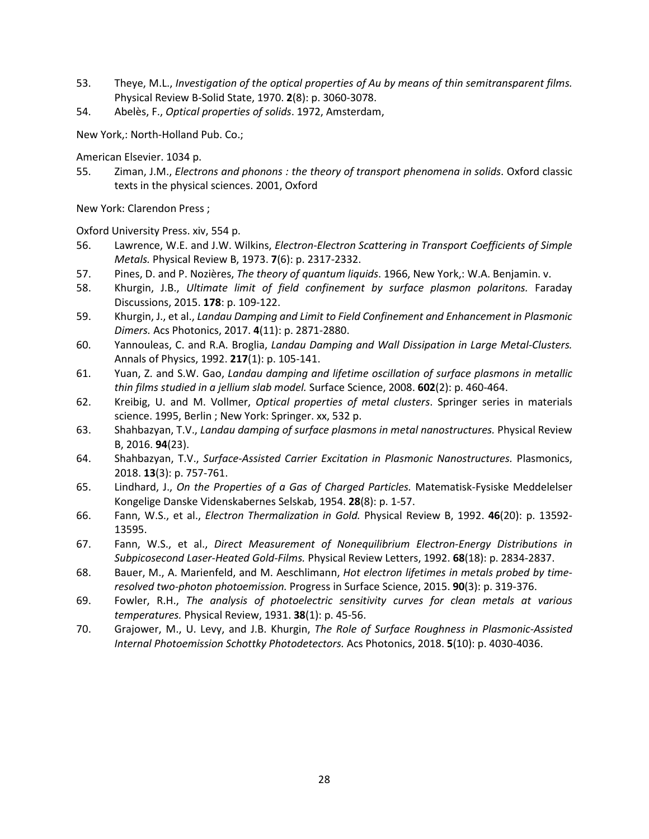- 53. Theye, M.L., *Investigation of the optical properties of Au by means of thin semitransparent films.* Physical Review B-Solid State, 1970. **2**(8): p. 3060-3078.
- 54. Abelès, F., *Optical properties of solids*. 1972, Amsterdam,

New York,: North-Holland Pub. Co.;

American Elsevier. 1034 p.

55. Ziman, J.M., *Electrons and phonons : the theory of transport phenomena in solids*. Oxford classic texts in the physical sciences. 2001, Oxford

New York: Clarendon Press ;

Oxford University Press. xiv, 554 p.

- 56. Lawrence, W.E. and J.W. Wilkins, *Electron-Electron Scattering in Transport Coefficients of Simple Metals.* Physical Review B, 1973. **7**(6): p. 2317-2332.
- 57. Pines, D. and P. Nozières, *The theory of quantum liquids*. 1966, New York,: W.A. Benjamin. v.
- 58. Khurgin, J.B., *Ultimate limit of field confinement by surface plasmon polaritons.* Faraday Discussions, 2015. **178**: p. 109-122.
- 59. Khurgin, J., et al., *Landau Damping and Limit to Field Confinement and Enhancement in Plasmonic Dimers.* Acs Photonics, 2017. **4**(11): p. 2871-2880.
- 60. Yannouleas, C. and R.A. Broglia, *Landau Damping and Wall Dissipation in Large Metal-Clusters.* Annals of Physics, 1992. **217**(1): p. 105-141.
- 61. Yuan, Z. and S.W. Gao, *Landau damping and lifetime oscillation of surface plasmons in metallic thin films studied in a jellium slab model.* Surface Science, 2008. **602**(2): p. 460-464.
- 62. Kreibig, U. and M. Vollmer, *Optical properties of metal clusters*. Springer series in materials science. 1995, Berlin ; New York: Springer. xx, 532 p.
- 63. Shahbazyan, T.V., *Landau damping of surface plasmons in metal nanostructures.* Physical Review B, 2016. **94**(23).
- 64. Shahbazyan, T.V., *Surface-Assisted Carrier Excitation in Plasmonic Nanostructures.* Plasmonics, 2018. **13**(3): p. 757-761.
- 65. Lindhard, J., *On the Properties of a Gas of Charged Particles.* Matematisk-Fysiske Meddelelser Kongelige Danske Videnskabernes Selskab, 1954. **28**(8): p. 1-57.
- 66. Fann, W.S., et al., *Electron Thermalization in Gold.* Physical Review B, 1992. **46**(20): p. 13592- 13595.
- 67. Fann, W.S., et al., *Direct Measurement of Nonequilibrium Electron-Energy Distributions in Subpicosecond Laser-Heated Gold-Films.* Physical Review Letters, 1992. **68**(18): p. 2834-2837.
- 68. Bauer, M., A. Marienfeld, and M. Aeschlimann, *Hot electron lifetimes in metals probed by timeresolved two-photon photoemission.* Progress in Surface Science, 2015. **90**(3): p. 319-376.
- 69. Fowler, R.H., *The analysis of photoelectric sensitivity curves for clean metals at various temperatures.* Physical Review, 1931. **38**(1): p. 45-56.
- 70. Grajower, M., U. Levy, and J.B. Khurgin, *The Role of Surface Roughness in Plasmonic-Assisted Internal Photoemission Schottky Photodetectors.* Acs Photonics, 2018. **5**(10): p. 4030-4036.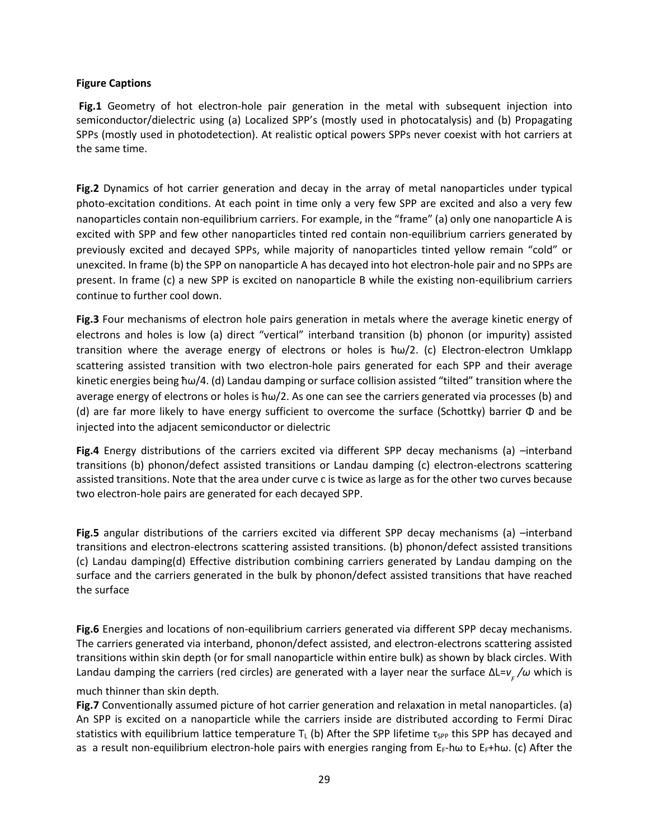#### **Figure Captions**

**Fig.1** Geometry of hot electron-hole pair generation in the metal with subsequent injection into semiconductor/dielectric using (a) Localized SPP's (mostly used in photocatalysis) and (b) Propagating SPPs (mostly used in photodetection). At realistic optical powers SPPs never coexist with hot carriers at the same time.

**Fig.2** Dynamics of hot carrier generation and decay in the array of metal nanoparticles under typical photo-excitation conditions. At each point in time only a very few SPP are excited and also a very few nanoparticles contain non-equilibrium carriers. For example, in the "frame" (a) only one nanoparticle A is excited with SPP and few other nanoparticles tinted red contain non-equilibrium carriers generated by previously excited and decayed SPPs, while majority of nanoparticles tinted yellow remain "cold" or unexcited. In frame (b) the SPP on nanoparticle A has decayed into hot electron-hole pair and no SPPs are present. In frame (c) a new SPP is excited on nanoparticle B while the existing non-equilibrium carriers continue to further cool down.

**Fig.3** Four mechanisms of electron hole pairs generation in metals where the average kinetic energy of electrons and holes is low (a) direct "vertical" interband transition (b) phonon (or impurity) assisted transition where the average energy of electrons or holes is ħω/2. (c) Electron-electron Umklapp scattering assisted transition with two electron-hole pairs generated for each SPP and their average kinetic energies being ħω/4. (d) Landau damping or surface collision assisted "tilted" transition where the average energy of electrons or holes is ħω/2. As one can see the carriers generated via processes (b) and (d) are far more likely to have energy sufficient to overcome the surface (Schottky) barrier Φ and be injected into the adjacent semiconductor or dielectric

**Fig.4** Energy distributions of the carriers excited via different SPP decay mechanisms (a) –interband transitions (b) phonon/defect assisted transitions or Landau damping (c) electron-electrons scattering assisted transitions. Note that the area under curve c is twice as large as for the other two curves because two electron-hole pairs are generated for each decayed SPP.

**Fig.5** angular distributions of the carriers excited via different SPP decay mechanisms (a) –interband transitions and electron-electrons scattering assisted transitions. (b) phonon/defect assisted transitions (c) Landau damping(d) Effective distribution combining carriers generated by Landau damping on the surface and the carriers generated in the bulk by phonon/defect assisted transitions that have reached the surface

**Fig.6** Energies and locations of non-equilibrium carriers generated via different SPP decay mechanisms. The carriers generated via interband, phonon/defect assisted, and electron-electrons scattering assisted transitions within skin depth (or for small nanoparticle within entire bulk) as shown by black circles. With Landau damping the carriers (red circles) are generated with a layer near the surface ΔL=*v <sup>F</sup> /ω* which is much thinner than skin depth*.*

**Fig.7** Conventionally assumed picture of hot carrier generation and relaxation in metal nanoparticles. (a) An SPP is excited on a nanoparticle while the carriers inside are distributed according to Fermi Dirac statistics with equilibrium lattice temperature T<sub>L</sub> (b) After the SPP lifetime  $\tau_{SPP}$  this SPP has decayed and as a result non-equilibrium electron-hole pairs with energies ranging from E<sub>F</sub>-hω to E<sub>F</sub>+hω. (c) After the